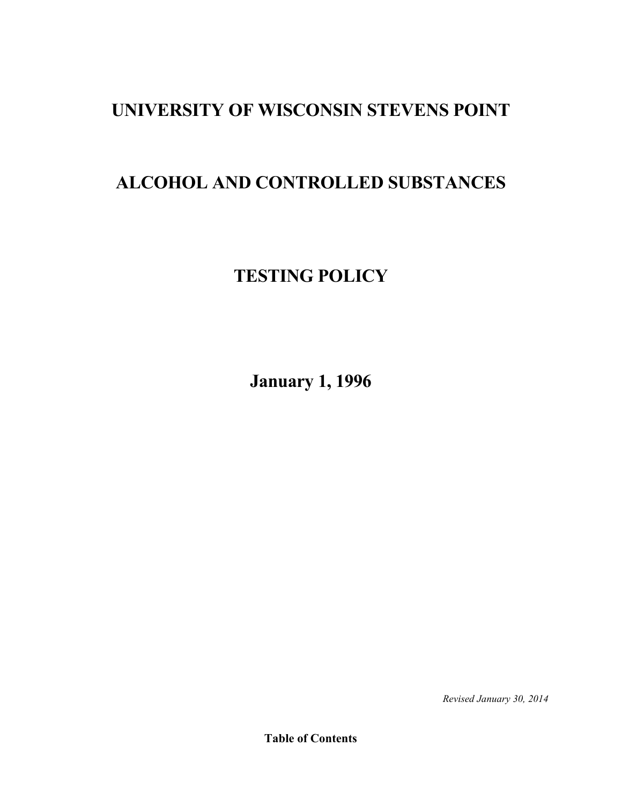# **UNIVERSITY OF WISCONSIN STEVENS POINT**

# **ALCOHOL AND CONTROLLED SUBSTANCES**

# **TESTING POLICY**

**January 1, 1996**

*Revised January 30, 2014*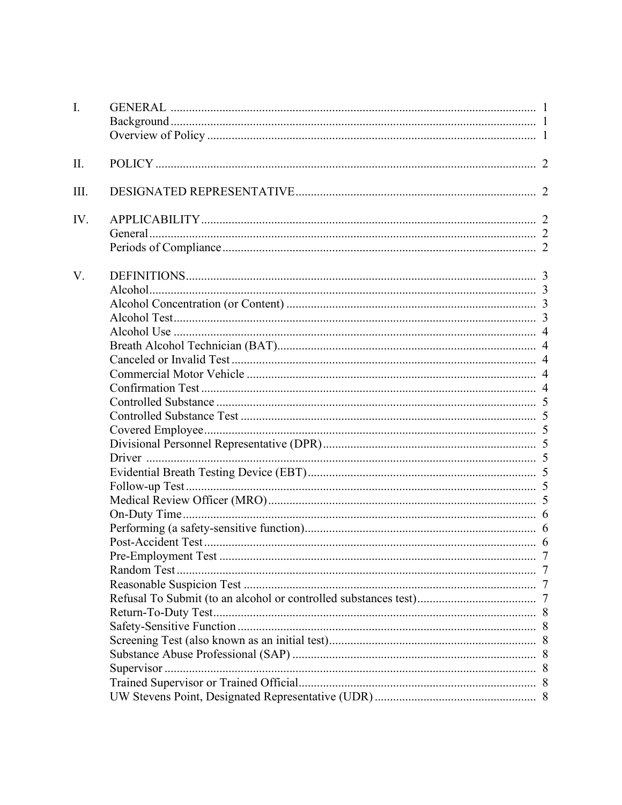| I.   |             |  |
|------|-------------|--|
|      |             |  |
|      |             |  |
|      |             |  |
| II.  |             |  |
|      |             |  |
| III. |             |  |
| IV.  |             |  |
|      |             |  |
|      |             |  |
| V.   |             |  |
|      |             |  |
|      |             |  |
|      |             |  |
|      |             |  |
|      |             |  |
|      |             |  |
|      |             |  |
|      |             |  |
|      |             |  |
|      |             |  |
|      |             |  |
|      |             |  |
|      |             |  |
|      |             |  |
|      |             |  |
|      |             |  |
|      |             |  |
|      |             |  |
|      |             |  |
|      |             |  |
|      | Random Test |  |
|      |             |  |
|      |             |  |
|      |             |  |
|      |             |  |
|      |             |  |
|      |             |  |
|      |             |  |
|      |             |  |
|      |             |  |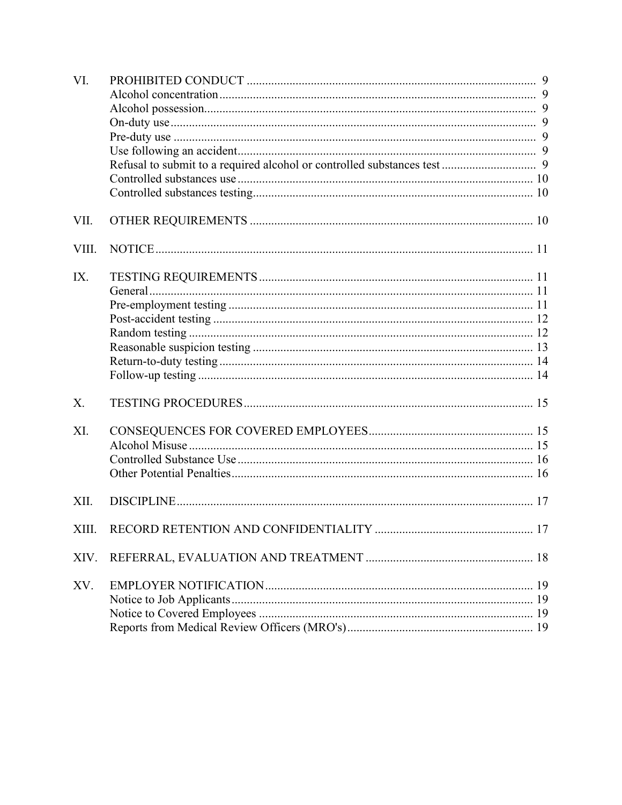| VI.   |  |
|-------|--|
|       |  |
|       |  |
|       |  |
|       |  |
|       |  |
|       |  |
|       |  |
|       |  |
| VII.  |  |
| VIII. |  |
| IX.   |  |
|       |  |
|       |  |
|       |  |
|       |  |
|       |  |
|       |  |
|       |  |
| Χ.    |  |
| XI.   |  |
|       |  |
|       |  |
|       |  |
| XII.  |  |
|       |  |
| XIV.  |  |
| XV.   |  |
|       |  |
|       |  |
|       |  |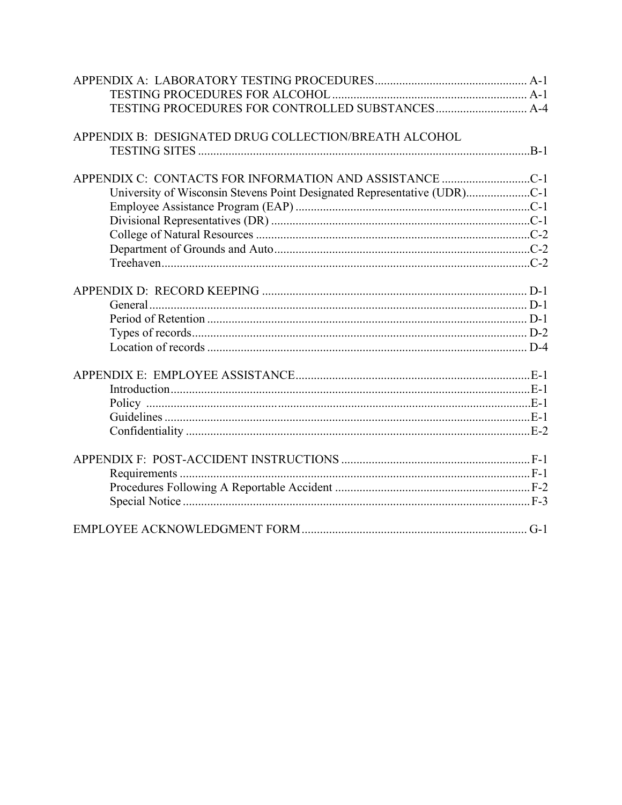| TESTING PROCEDURES FOR CONTROLLED SUBSTANCES A-4                         |  |
|--------------------------------------------------------------------------|--|
|                                                                          |  |
| APPENDIX B: DESIGNATED DRUG COLLECTION/BREATH ALCOHOL                    |  |
|                                                                          |  |
|                                                                          |  |
|                                                                          |  |
| University of Wisconsin Stevens Point Designated Representative (UDR)C-1 |  |
|                                                                          |  |
|                                                                          |  |
|                                                                          |  |
|                                                                          |  |
|                                                                          |  |
|                                                                          |  |
|                                                                          |  |
|                                                                          |  |
|                                                                          |  |
|                                                                          |  |
|                                                                          |  |
|                                                                          |  |
|                                                                          |  |
|                                                                          |  |
|                                                                          |  |
|                                                                          |  |
|                                                                          |  |
|                                                                          |  |
|                                                                          |  |
|                                                                          |  |
|                                                                          |  |
|                                                                          |  |
|                                                                          |  |
|                                                                          |  |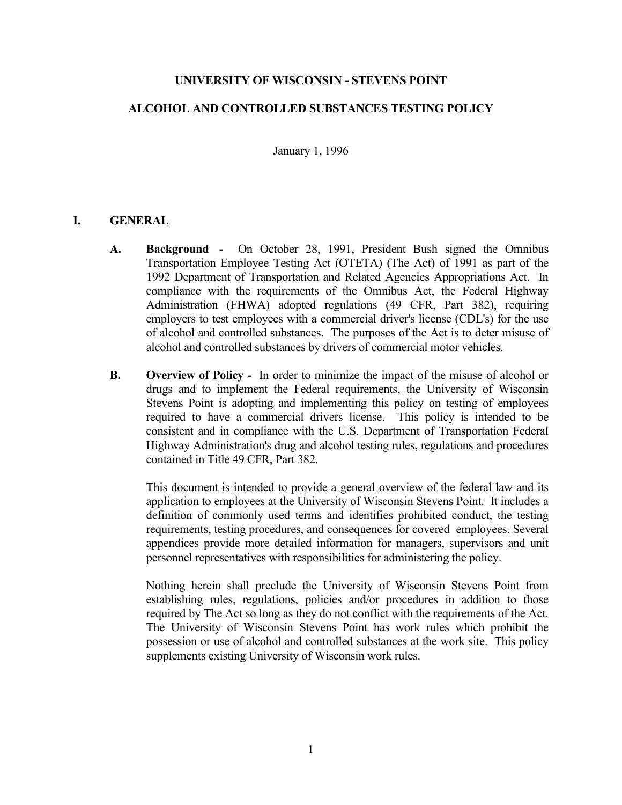## **UNIVERSITY OF WISCONSIN - STEVENS POINT**

# **ALCOHOL AND CONTROLLED SUBSTANCES TESTING POLICY**

January 1, 1996

## **I. GENERAL**

- **A. Background -** On October 28, 1991, President Bush signed the Omnibus Transportation Employee Testing Act (OTETA) (The Act) of 1991 as part of the 1992 Department of Transportation and Related Agencies Appropriations Act. In compliance with the requirements of the Omnibus Act, the Federal Highway Administration (FHWA) adopted regulations (49 CFR, Part 382), requiring employers to test employees with a commercial driver's license (CDL's) for the use of alcohol and controlled substances. The purposes of the Act is to deter misuse of alcohol and controlled substances by drivers of commercial motor vehicles.
- **B. Overview of Policy -** In order to minimize the impact of the misuse of alcohol or drugs and to implement the Federal requirements, the University of Wisconsin Stevens Point is adopting and implementing this policy on testing of employees required to have a commercial drivers license. This policy is intended to be consistent and in compliance with the U.S. Department of Transportation Federal Highway Administration's drug and alcohol testing rules, regulations and procedures contained in Title 49 CFR, Part 382.

This document is intended to provide a general overview of the federal law and its application to employees at the University of Wisconsin Stevens Point. It includes a definition of commonly used terms and identifies prohibited conduct, the testing requirements, testing procedures, and consequences for covered employees. Several appendices provide more detailed information for managers, supervisors and unit personnel representatives with responsibilities for administering the policy.

Nothing herein shall preclude the University of Wisconsin Stevens Point from establishing rules, regulations, policies and/or procedures in addition to those required by The Act so long as they do not conflict with the requirements of the Act. The University of Wisconsin Stevens Point has work rules which prohibit the possession or use of alcohol and controlled substances at the work site. This policy supplements existing University of Wisconsin work rules.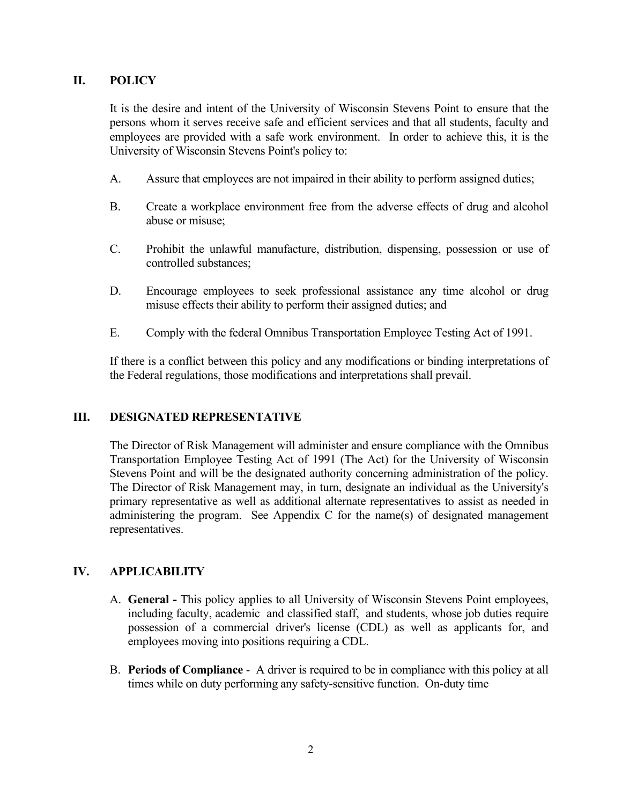# **II. POLICY**

It is the desire and intent of the University of Wisconsin Stevens Point to ensure that the persons whom it serves receive safe and efficient services and that all students, faculty and employees are provided with a safe work environment. In order to achieve this, it is the University of Wisconsin Stevens Point's policy to:

- A. Assure that employees are not impaired in their ability to perform assigned duties;
- B. Create a workplace environment free from the adverse effects of drug and alcohol abuse or misuse;
- C. Prohibit the unlawful manufacture, distribution, dispensing, possession or use of controlled substances;
- D. Encourage employees to seek professional assistance any time alcohol or drug misuse effects their ability to perform their assigned duties; and
- E. Comply with the federal Omnibus Transportation Employee Testing Act of 1991.

If there is a conflict between this policy and any modifications or binding interpretations of the Federal regulations, those modifications and interpretations shall prevail.

# **III. DESIGNATED REPRESENTATIVE**

The Director of Risk Management will administer and ensure compliance with the Omnibus Transportation Employee Testing Act of 1991 (The Act) for the University of Wisconsin Stevens Point and will be the designated authority concerning administration of the policy. The Director of Risk Management may, in turn, designate an individual as the University's primary representative as well as additional alternate representatives to assist as needed in administering the program. See Appendix C for the name(s) of designated management representatives.

# **IV. APPLICABILITY**

- A. **General -** This policy applies to all University of Wisconsin Stevens Point employees, including faculty, academic and classified staff, and students, whose job duties require possession of a commercial driver's license (CDL) as well as applicants for, and employees moving into positions requiring a CDL.
- B. **Periods of Compliance** A driver is required to be in compliance with this policy at all times while on duty performing any safety-sensitive function. On-duty time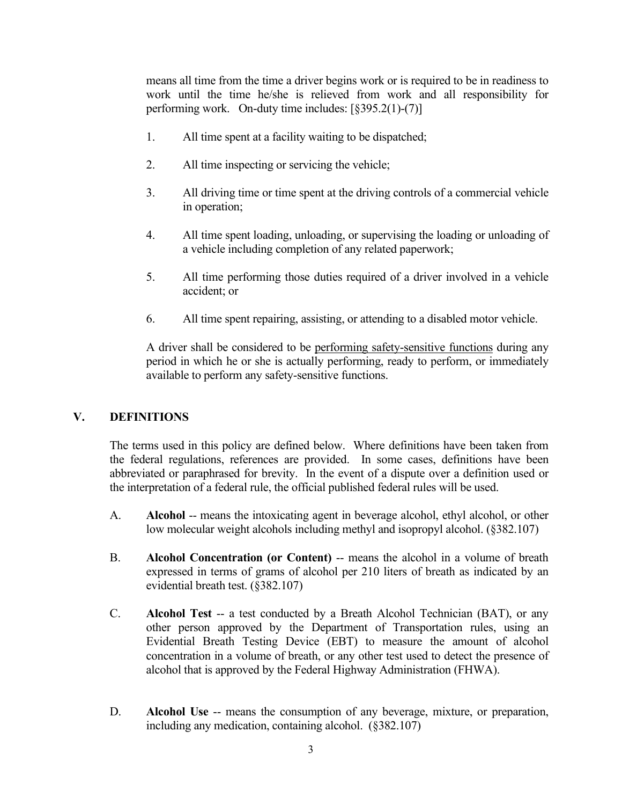means all time from the time a driver begins work or is required to be in readiness to work until the time he/she is relieved from work and all responsibility for performing work. On-duty time includes: [§395.2(1)-(7)]

- 1. All time spent at a facility waiting to be dispatched;
- 2. All time inspecting or servicing the vehicle;
- 3. All driving time or time spent at the driving controls of a commercial vehicle in operation;
- 4. All time spent loading, unloading, or supervising the loading or unloading of a vehicle including completion of any related paperwork;
- 5. All time performing those duties required of a driver involved in a vehicle accident; or
- 6. All time spent repairing, assisting, or attending to a disabled motor vehicle.

A driver shall be considered to be performing safety-sensitive functions during any period in which he or she is actually performing, ready to perform, or immediately available to perform any safety-sensitive functions.

# **V. DEFINITIONS**

The terms used in this policy are defined below. Where definitions have been taken from the federal regulations, references are provided. In some cases, definitions have been abbreviated or paraphrased for brevity. In the event of a dispute over a definition used or the interpretation of a federal rule, the official published federal rules will be used.

- A. **Alcohol** -- means the intoxicating agent in beverage alcohol, ethyl alcohol, or other low molecular weight alcohols including methyl and isopropyl alcohol. (§382.107)
- B. **Alcohol Concentration (or Content)** -- means the alcohol in a volume of breath expressed in terms of grams of alcohol per 210 liters of breath as indicated by an evidential breath test. (§382.107)
- C. **Alcohol Test** -- a test conducted by a Breath Alcohol Technician (BAT), or any other person approved by the Department of Transportation rules, using an Evidential Breath Testing Device (EBT) to measure the amount of alcohol concentration in a volume of breath, or any other test used to detect the presence of alcohol that is approved by the Federal Highway Administration (FHWA).
- D. **Alcohol Use** -- means the consumption of any beverage, mixture, or preparation, including any medication, containing alcohol. (§382.107)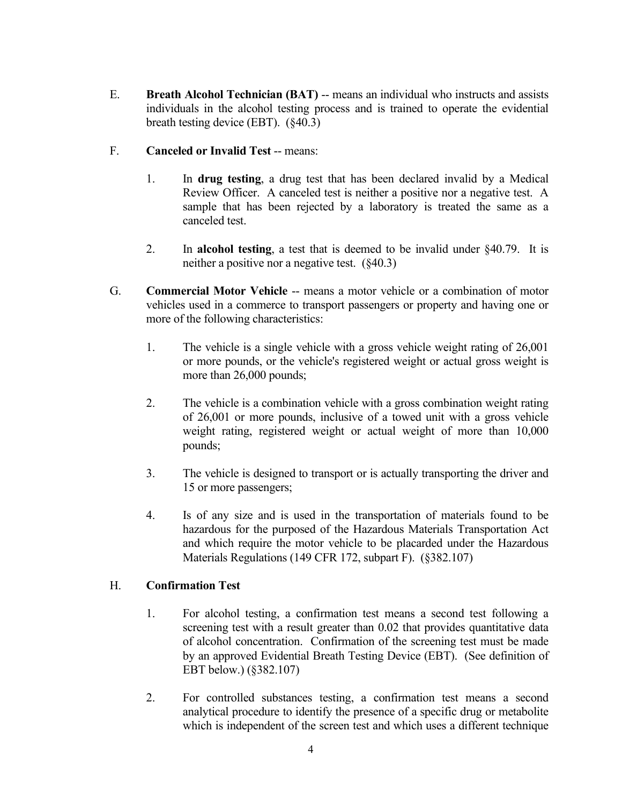- E. **Breath Alcohol Technician (BAT)** -- means an individual who instructs and assists individuals in the alcohol testing process and is trained to operate the evidential breath testing device (EBT). (§40.3)
- F. **Canceled or Invalid Test** -- means:
	- 1. In **drug testing**, a drug test that has been declared invalid by a Medical Review Officer. A canceled test is neither a positive nor a negative test. A sample that has been rejected by a laboratory is treated the same as a canceled test.
	- 2. In **alcohol testing**, a test that is deemed to be invalid under §40.79. It is neither a positive nor a negative test. (§40.3)
- G. **Commercial Motor Vehicle** -- means a motor vehicle or a combination of motor vehicles used in a commerce to transport passengers or property and having one or more of the following characteristics:
	- 1. The vehicle is a single vehicle with a gross vehicle weight rating of 26,001 or more pounds, or the vehicle's registered weight or actual gross weight is more than 26,000 pounds;
	- 2. The vehicle is a combination vehicle with a gross combination weight rating of 26,001 or more pounds, inclusive of a towed unit with a gross vehicle weight rating, registered weight or actual weight of more than 10,000 pounds;
	- 3. The vehicle is designed to transport or is actually transporting the driver and 15 or more passengers;
	- 4. Is of any size and is used in the transportation of materials found to be hazardous for the purposed of the Hazardous Materials Transportation Act and which require the motor vehicle to be placarded under the Hazardous Materials Regulations (149 CFR 172, subpart F). (§382.107)

# H. **Confirmation Test**

- 1. For alcohol testing, a confirmation test means a second test following a screening test with a result greater than 0.02 that provides quantitative data of alcohol concentration. Confirmation of the screening test must be made by an approved Evidential Breath Testing Device (EBT). (See definition of EBT below.) (§382.107)
- 2. For controlled substances testing, a confirmation test means a second analytical procedure to identify the presence of a specific drug or metabolite which is independent of the screen test and which uses a different technique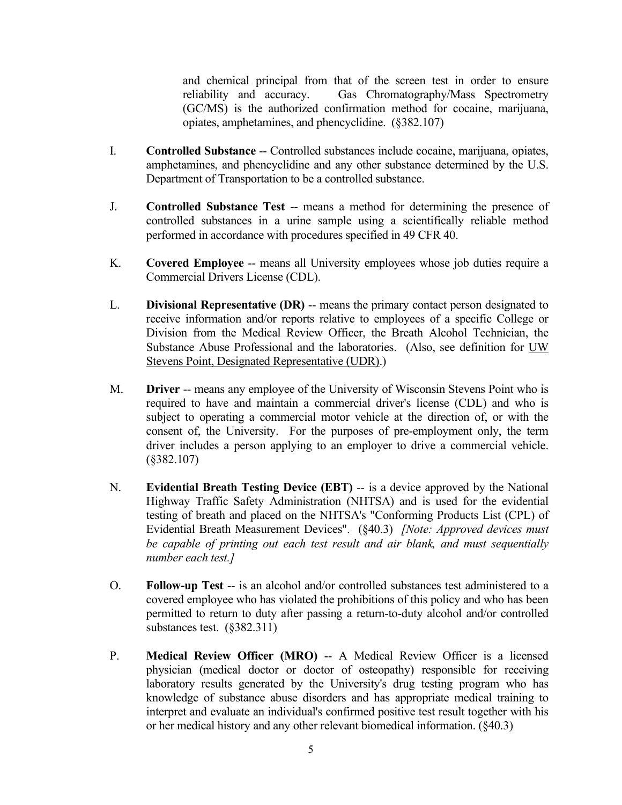and chemical principal from that of the screen test in order to ensure reliability and accuracy. Gas Chromatography/Mass Spectrometry (GC/MS) is the authorized confirmation method for cocaine, marijuana, opiates, amphetamines, and phencyclidine. (§382.107)

- I. **Controlled Substance** -- Controlled substances include cocaine, marijuana, opiates, amphetamines, and phencyclidine and any other substance determined by the U.S. Department of Transportation to be a controlled substance.
- J. **Controlled Substance Test** -- means a method for determining the presence of controlled substances in a urine sample using a scientifically reliable method performed in accordance with procedures specified in 49 CFR 40.
- K. **Covered Employee** -- means all University employees whose job duties require a Commercial Drivers License (CDL).
- L. **Divisional Representative (DR)** -- means the primary contact person designated to receive information and/or reports relative to employees of a specific College or Division from the Medical Review Officer, the Breath Alcohol Technician, the Substance Abuse Professional and the laboratories. (Also, see definition for UW Stevens Point, Designated Representative (UDR).)
- M. **Driver** -- means any employee of the University of Wisconsin Stevens Point who is required to have and maintain a commercial driver's license (CDL) and who is subject to operating a commercial motor vehicle at the direction of, or with the consent of, the University. For the purposes of pre-employment only, the term driver includes a person applying to an employer to drive a commercial vehicle. (§382.107)
- N. **Evidential Breath Testing Device (EBT)** -- is a device approved by the National Highway Traffic Safety Administration (NHTSA) and is used for the evidential testing of breath and placed on the NHTSA's "Conforming Products List (CPL) of Evidential Breath Measurement Devices". (§40.3) *[Note: Approved devices must be capable of printing out each test result and air blank, and must sequentially number each test.]*
- O. **Follow-up Test** -- is an alcohol and/or controlled substances test administered to a covered employee who has violated the prohibitions of this policy and who has been permitted to return to duty after passing a return-to-duty alcohol and/or controlled substances test. (§382.311)
- P. **Medical Review Officer (MRO)** -- A Medical Review Officer is a licensed physician (medical doctor or doctor of osteopathy) responsible for receiving laboratory results generated by the University's drug testing program who has knowledge of substance abuse disorders and has appropriate medical training to interpret and evaluate an individual's confirmed positive test result together with his or her medical history and any other relevant biomedical information. (§40.3)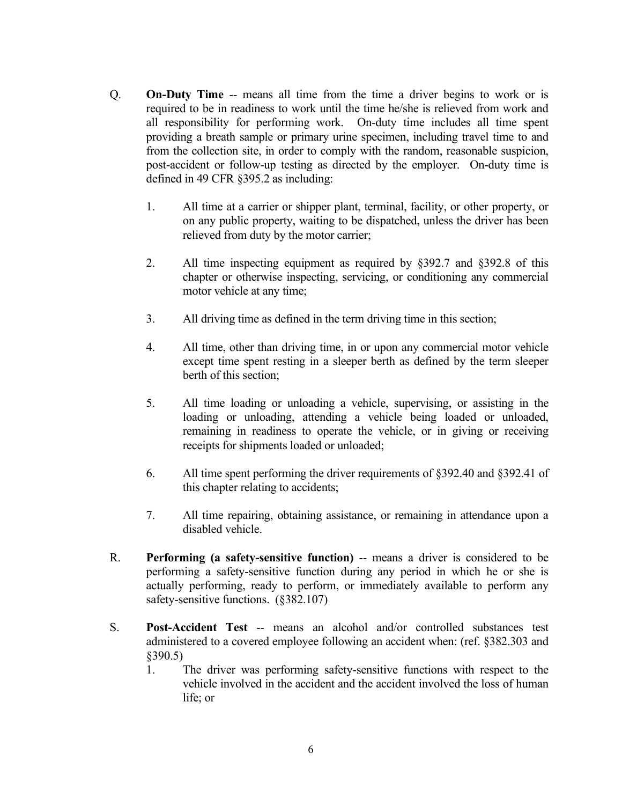- Q. **On-Duty Time** -- means all time from the time a driver begins to work or is required to be in readiness to work until the time he/she is relieved from work and all responsibility for performing work. On-duty time includes all time spent providing a breath sample or primary urine specimen, including travel time to and from the collection site, in order to comply with the random, reasonable suspicion, post-accident or follow-up testing as directed by the employer. On-duty time is defined in 49 CFR §395.2 as including:
	- 1. All time at a carrier or shipper plant, terminal, facility, or other property, or on any public property, waiting to be dispatched, unless the driver has been relieved from duty by the motor carrier;
	- 2. All time inspecting equipment as required by §392.7 and §392.8 of this chapter or otherwise inspecting, servicing, or conditioning any commercial motor vehicle at any time;
	- 3. All driving time as defined in the term driving time in this section;
	- 4. All time, other than driving time, in or upon any commercial motor vehicle except time spent resting in a sleeper berth as defined by the term sleeper berth of this section;
	- 5. All time loading or unloading a vehicle, supervising, or assisting in the loading or unloading, attending a vehicle being loaded or unloaded, remaining in readiness to operate the vehicle, or in giving or receiving receipts for shipments loaded or unloaded;
	- 6. All time spent performing the driver requirements of §392.40 and §392.41 of this chapter relating to accidents;
	- 7. All time repairing, obtaining assistance, or remaining in attendance upon a disabled vehicle.
- R. **Performing (a safety-sensitive function)** -- means a driver is considered to be performing a safety-sensitive function during any period in which he or she is actually performing, ready to perform, or immediately available to perform any safety-sensitive functions. (§382.107)
- S. **Post-Accident Test** -- means an alcohol and/or controlled substances test administered to a covered employee following an accident when: (ref. §382.303 and §390.5)
	- 1. The driver was performing safety-sensitive functions with respect to the vehicle involved in the accident and the accident involved the loss of human life; or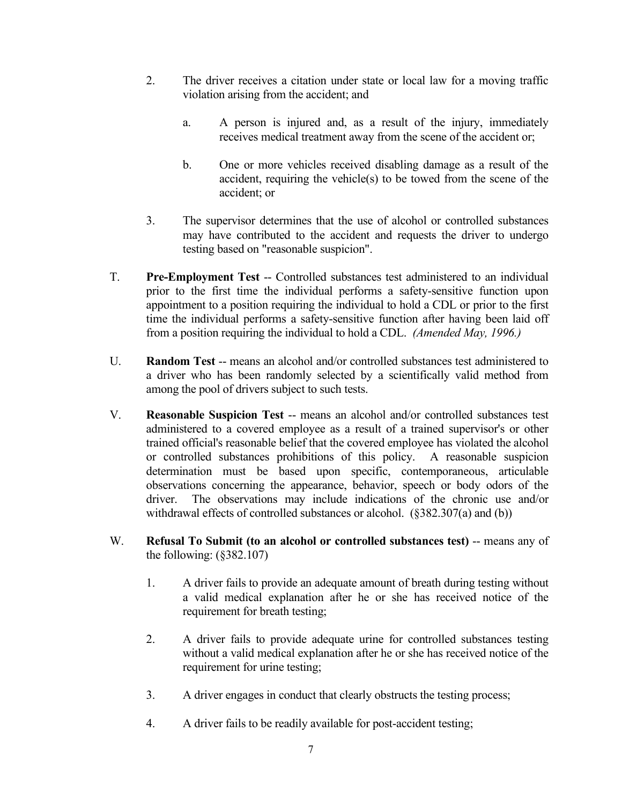- 2. The driver receives a citation under state or local law for a moving traffic violation arising from the accident; and
	- a. A person is injured and, as a result of the injury, immediately receives medical treatment away from the scene of the accident or;
	- b. One or more vehicles received disabling damage as a result of the accident, requiring the vehicle(s) to be towed from the scene of the accident; or
- 3. The supervisor determines that the use of alcohol or controlled substances may have contributed to the accident and requests the driver to undergo testing based on "reasonable suspicion".
- T. **Pre-Employment Test** -- Controlled substances test administered to an individual prior to the first time the individual performs a safety-sensitive function upon appointment to a position requiring the individual to hold a CDL or prior to the first time the individual performs a safety-sensitive function after having been laid off from a position requiring the individual to hold a CDL. *(Amended May, 1996.)*
- U. **Random Test** -- means an alcohol and/or controlled substances test administered to a driver who has been randomly selected by a scientifically valid method from among the pool of drivers subject to such tests.
- V. **Reasonable Suspicion Test** -- means an alcohol and/or controlled substances test administered to a covered employee as a result of a trained supervisor's or other trained official's reasonable belief that the covered employee has violated the alcohol or controlled substances prohibitions of this policy. A reasonable suspicion determination must be based upon specific, contemporaneous, articulable observations concerning the appearance, behavior, speech or body odors of the driver. The observations may include indications of the chronic use and/or withdrawal effects of controlled substances or alcohol. (§382.307(a) and (b))
- W. **Refusal To Submit (to an alcohol or controlled substances test)** -- means any of the following:  $(\S 382.107)$ 
	- 1. A driver fails to provide an adequate amount of breath during testing without a valid medical explanation after he or she has received notice of the requirement for breath testing;
	- 2. A driver fails to provide adequate urine for controlled substances testing without a valid medical explanation after he or she has received notice of the requirement for urine testing;
	- 3. A driver engages in conduct that clearly obstructs the testing process;
	- 4. A driver fails to be readily available for post-accident testing;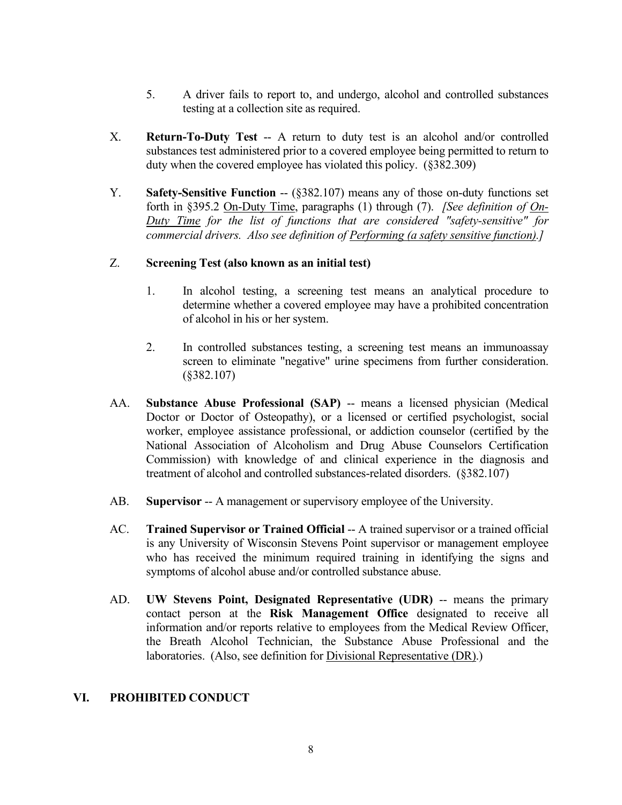- 5. A driver fails to report to, and undergo, alcohol and controlled substances testing at a collection site as required.
- X. **Return-To-Duty Test** -- A return to duty test is an alcohol and/or controlled substances test administered prior to a covered employee being permitted to return to duty when the covered employee has violated this policy. (§382.309)
- Y. **Safety-Sensitive Function --** (§382.107) means any of those on-duty functions set forth in §395.2 On-Duty Time, paragraphs (1) through (7). *[See definition of On-Duty Time for the list of functions that are considered "safety-sensitive" for commercial drivers. Also see definition of Performing (a safety sensitive function).]*

# Z. **Screening Test (also known as an initial test)**

- 1. In alcohol testing, a screening test means an analytical procedure to determine whether a covered employee may have a prohibited concentration of alcohol in his or her system.
- 2. In controlled substances testing, a screening test means an immunoassay screen to eliminate "negative" urine specimens from further consideration. (§382.107)
- AA. **Substance Abuse Professional (SAP)** -- means a licensed physician (Medical Doctor or Doctor of Osteopathy), or a licensed or certified psychologist, social worker, employee assistance professional, or addiction counselor (certified by the National Association of Alcoholism and Drug Abuse Counselors Certification Commission) with knowledge of and clinical experience in the diagnosis and treatment of alcohol and controlled substances-related disorders. (§382.107)
- AB. **Supervisor** -- A management or supervisory employee of the University.
- AC. **Trained Supervisor or Trained Official** -- A trained supervisor or a trained official is any University of Wisconsin Stevens Point supervisor or management employee who has received the minimum required training in identifying the signs and symptoms of alcohol abuse and/or controlled substance abuse.
- AD. **UW Stevens Point, Designated Representative (UDR)** -- means the primary contact person at the **Risk Management Office** designated to receive all information and/or reports relative to employees from the Medical Review Officer, the Breath Alcohol Technician, the Substance Abuse Professional and the laboratories. (Also, see definition for Divisional Representative (DR).)

# **VI. PROHIBITED CONDUCT**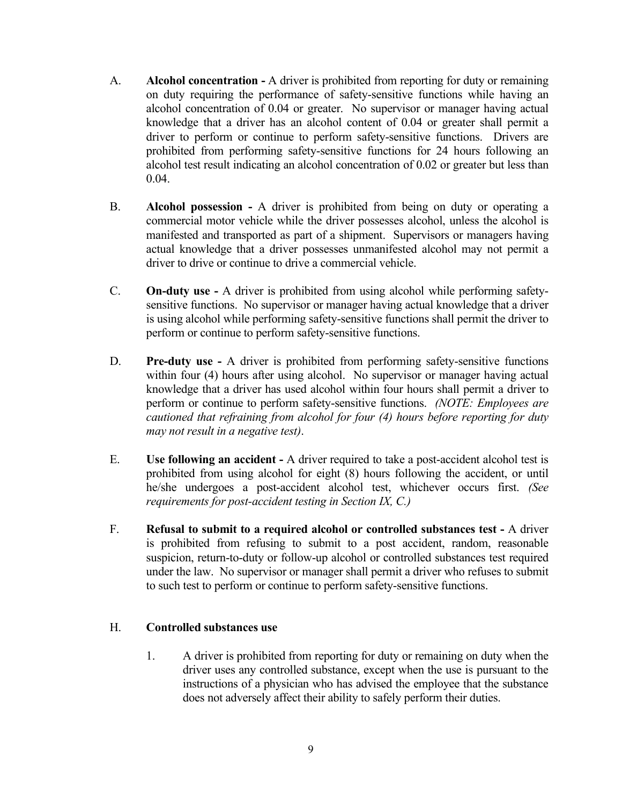- A. **Alcohol concentration -** A driver is prohibited from reporting for duty or remaining on duty requiring the performance of safety-sensitive functions while having an alcohol concentration of 0.04 or greater. No supervisor or manager having actual knowledge that a driver has an alcohol content of 0.04 or greater shall permit a driver to perform or continue to perform safety-sensitive functions. Drivers are prohibited from performing safety-sensitive functions for 24 hours following an alcohol test result indicating an alcohol concentration of 0.02 or greater but less than 0.04.
- B. **Alcohol possession -** A driver is prohibited from being on duty or operating a commercial motor vehicle while the driver possesses alcohol, unless the alcohol is manifested and transported as part of a shipment. Supervisors or managers having actual knowledge that a driver possesses unmanifested alcohol may not permit a driver to drive or continue to drive a commercial vehicle.
- C. **On-duty use -** A driver is prohibited from using alcohol while performing safetysensitive functions. No supervisor or manager having actual knowledge that a driver is using alcohol while performing safety-sensitive functions shall permit the driver to perform or continue to perform safety-sensitive functions.
- D. **Pre-duty use -** A driver is prohibited from performing safety-sensitive functions within four (4) hours after using alcohol. No supervisor or manager having actual knowledge that a driver has used alcohol within four hours shall permit a driver to perform or continue to perform safety-sensitive functions. *(NOTE: Employees are cautioned that refraining from alcohol for four (4) hours before reporting for duty may not result in a negative test)*.
- E. **Use following an accident -** A driver required to take a post-accident alcohol test is prohibited from using alcohol for eight (8) hours following the accident, or until he/she undergoes a post-accident alcohol test, whichever occurs first. *(See requirements for post-accident testing in Section IX, C.)*
- F. **Refusal to submit to a required alcohol or controlled substances test -** A driver is prohibited from refusing to submit to a post accident, random, reasonable suspicion, return-to-duty or follow-up alcohol or controlled substances test required under the law. No supervisor or manager shall permit a driver who refuses to submit to such test to perform or continue to perform safety-sensitive functions.

# H. **Controlled substances use**

1. A driver is prohibited from reporting for duty or remaining on duty when the driver uses any controlled substance, except when the use is pursuant to the instructions of a physician who has advised the employee that the substance does not adversely affect their ability to safely perform their duties.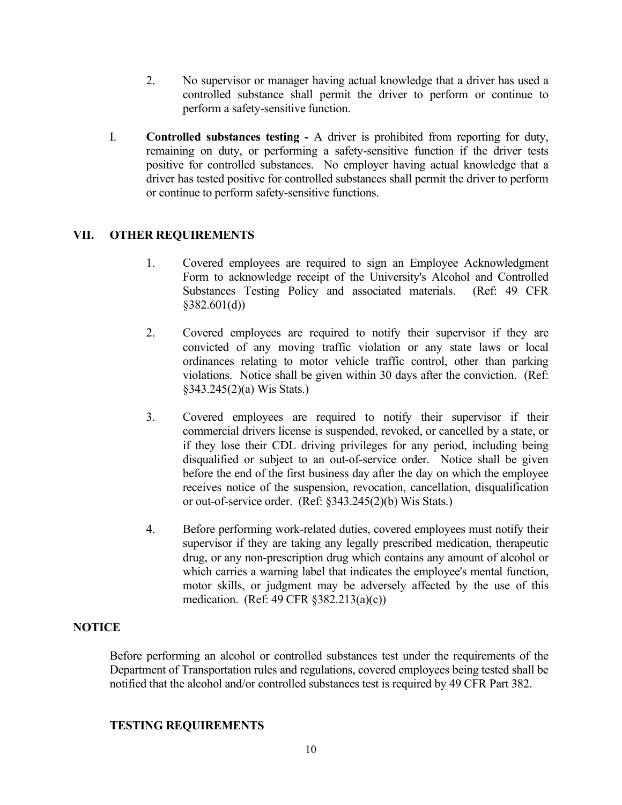- 2. No supervisor or manager having actual knowledge that a driver has used a controlled substance shall permit the driver to perform or continue to perform a safety-sensitive function.
- I. **Controlled substances testing -** A driver is prohibited from reporting for duty, remaining on duty, or performing a safety-sensitive function if the driver tests positive for controlled substances. No employer having actual knowledge that a driver has tested positive for controlled substances shall permit the driver to perform or continue to perform safety-sensitive functions.

# **VII. OTHER REQUIREMENTS**

- 1. Covered employees are required to sign an Employee Acknowledgment Form to acknowledge receipt of the University's Alcohol and Controlled Substances Testing Policy and associated materials. (Ref: 49 CFR §382.601(d))
- 2. Covered employees are required to notify their supervisor if they are convicted of any moving traffic violation or any state laws or local ordinances relating to motor vehicle traffic control, other than parking violations. Notice shall be given within 30 days after the conviction. (Ref: §343.245(2)(a) Wis Stats.)
- 3. Covered employees are required to notify their supervisor if their commercial drivers license is suspended, revoked, or cancelled by a state, or if they lose their CDL driving privileges for any period, including being disqualified or subject to an out-of-service order. Notice shall be given before the end of the first business day after the day on which the employee receives notice of the suspension, revocation, cancellation, disqualification or out-of-service order. (Ref: §343.245(2)(b) Wis Stats.)
- 4. Before performing work-related duties, covered employees must notify their supervisor if they are taking any legally prescribed medication, therapeutic drug, or any non-prescription drug which contains any amount of alcohol or which carries a warning label that indicates the employee's mental function, motor skills, or judgment may be adversely affected by the use of this medication. (Ref: 49 CFR §382.213(a)(c))

# **NOTICE**

Before performing an alcohol or controlled substances test under the requirements of the Department of Transportation rules and regulations, covered employees being tested shall be notified that the alcohol and/or controlled substances test is required by 49 CFR Part 382.

# **TESTING REQUIREMENTS**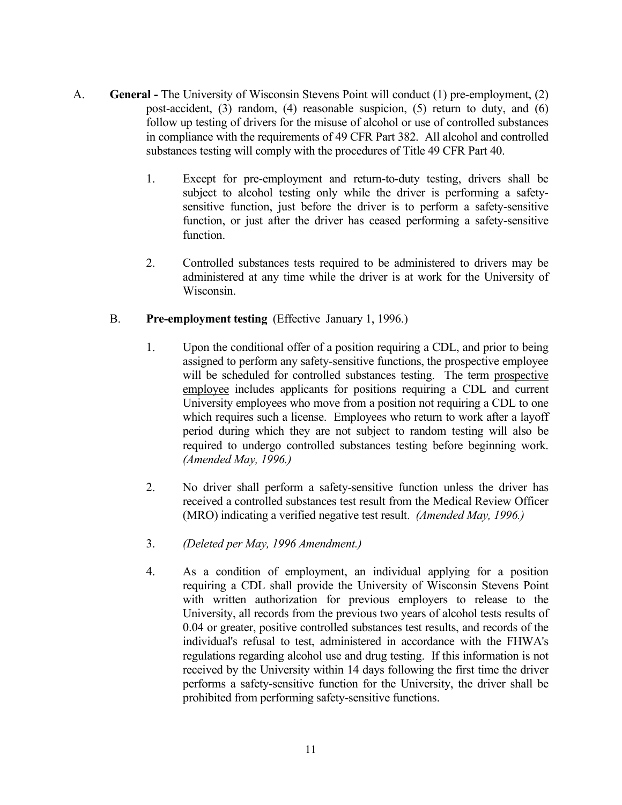- A. **General -** The University of Wisconsin Stevens Point will conduct (1) pre-employment, (2) post-accident, (3) random, (4) reasonable suspicion, (5) return to duty, and (6) follow up testing of drivers for the misuse of alcohol or use of controlled substances in compliance with the requirements of 49 CFR Part 382. All alcohol and controlled substances testing will comply with the procedures of Title 49 CFR Part 40.
	- 1. Except for pre-employment and return-to-duty testing, drivers shall be subject to alcohol testing only while the driver is performing a safetysensitive function, just before the driver is to perform a safety-sensitive function, or just after the driver has ceased performing a safety-sensitive function.
	- 2. Controlled substances tests required to be administered to drivers may be administered at any time while the driver is at work for the University of Wisconsin.

# B. **Pre-employment testing** (Effective January 1, 1996.)

- 1. Upon the conditional offer of a position requiring a CDL, and prior to being assigned to perform any safety-sensitive functions, the prospective employee will be scheduled for controlled substances testing. The term prospective employee includes applicants for positions requiring a CDL and current University employees who move from a position not requiring a CDL to one which requires such a license. Employees who return to work after a layoff period during which they are not subject to random testing will also be required to undergo controlled substances testing before beginning work. *(Amended May, 1996.)*
- 2. No driver shall perform a safety-sensitive function unless the driver has received a controlled substances test result from the Medical Review Officer (MRO) indicating a verified negative test result. *(Amended May, 1996.)*
- 3. *(Deleted per May, 1996 Amendment.)*
- 4. As a condition of employment, an individual applying for a position requiring a CDL shall provide the University of Wisconsin Stevens Point with written authorization for previous employers to release to the University, all records from the previous two years of alcohol tests results of 0.04 or greater, positive controlled substances test results, and records of the individual's refusal to test, administered in accordance with the FHWA's regulations regarding alcohol use and drug testing. If this information is not received by the University within 14 days following the first time the driver performs a safety-sensitive function for the University, the driver shall be prohibited from performing safety-sensitive functions.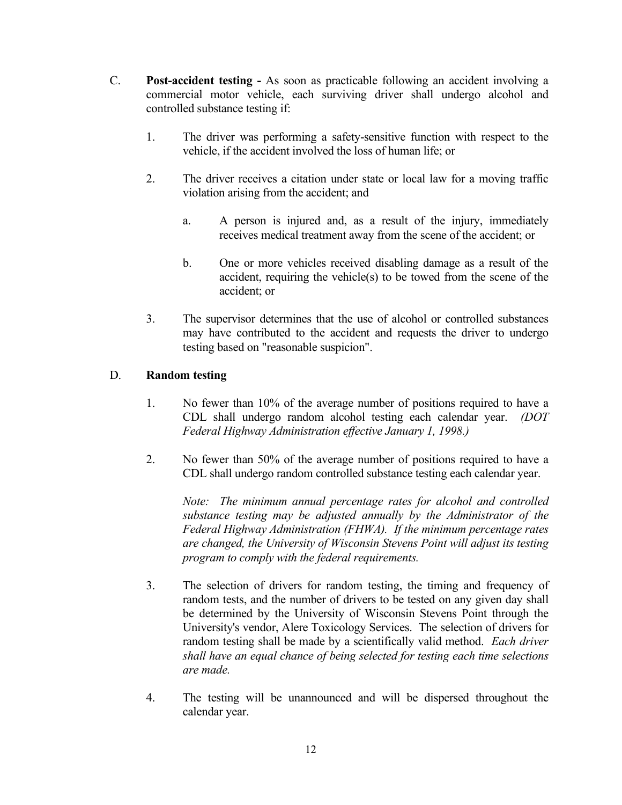- C. **Post-accident testing -** As soon as practicable following an accident involving a commercial motor vehicle, each surviving driver shall undergo alcohol and controlled substance testing if:
	- 1. The driver was performing a safety-sensitive function with respect to the vehicle, if the accident involved the loss of human life; or
	- 2. The driver receives a citation under state or local law for a moving traffic violation arising from the accident; and
		- a. A person is injured and, as a result of the injury, immediately receives medical treatment away from the scene of the accident; or
		- b. One or more vehicles received disabling damage as a result of the accident, requiring the vehicle(s) to be towed from the scene of the accident; or
	- 3. The supervisor determines that the use of alcohol or controlled substances may have contributed to the accident and requests the driver to undergo testing based on "reasonable suspicion".

# D. **Random testing**

- 1. No fewer than 10% of the average number of positions required to have a CDL shall undergo random alcohol testing each calendar year. *(DOT Federal Highway Administration effective January 1, 1998.)*
- 2. No fewer than 50% of the average number of positions required to have a CDL shall undergo random controlled substance testing each calendar year.

*Note: The minimum annual percentage rates for alcohol and controlled substance testing may be adjusted annually by the Administrator of the Federal Highway Administration (FHWA). If the minimum percentage rates are changed, the University of Wisconsin Stevens Point will adjust its testing program to comply with the federal requirements.*

- 3. The selection of drivers for random testing, the timing and frequency of random tests, and the number of drivers to be tested on any given day shall be determined by the University of Wisconsin Stevens Point through the University's vendor, Alere Toxicology Services. The selection of drivers for random testing shall be made by a scientifically valid method. *Each driver shall have an equal chance of being selected for testing each time selections are made.*
- 4. The testing will be unannounced and will be dispersed throughout the calendar year.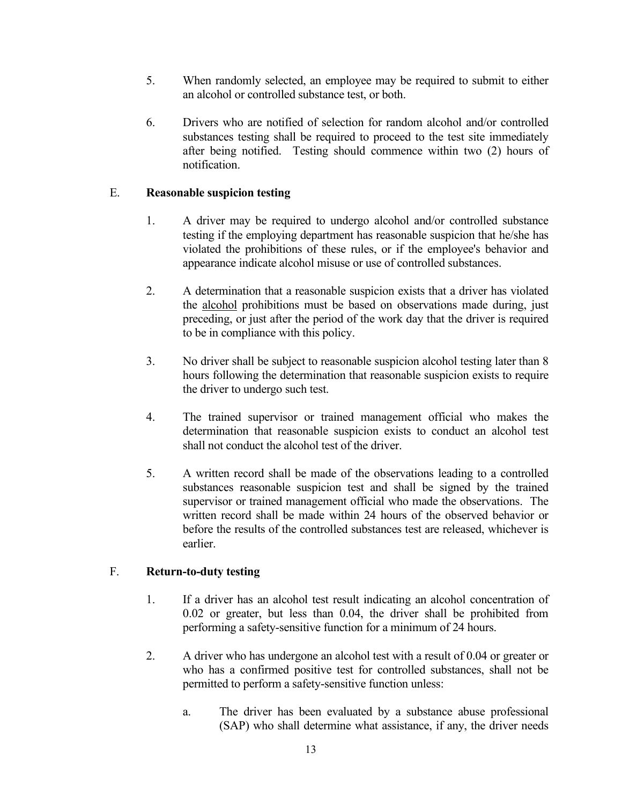- 5. When randomly selected, an employee may be required to submit to either an alcohol or controlled substance test, or both.
- 6. Drivers who are notified of selection for random alcohol and/or controlled substances testing shall be required to proceed to the test site immediately after being notified. Testing should commence within two (2) hours of notification.

# E. **Reasonable suspicion testing**

- 1. A driver may be required to undergo alcohol and/or controlled substance testing if the employing department has reasonable suspicion that he/she has violated the prohibitions of these rules, or if the employee's behavior and appearance indicate alcohol misuse or use of controlled substances.
- 2. A determination that a reasonable suspicion exists that a driver has violated the alcohol prohibitions must be based on observations made during, just preceding, or just after the period of the work day that the driver is required to be in compliance with this policy.
- 3. No driver shall be subject to reasonable suspicion alcohol testing later than 8 hours following the determination that reasonable suspicion exists to require the driver to undergo such test.
- 4. The trained supervisor or trained management official who makes the determination that reasonable suspicion exists to conduct an alcohol test shall not conduct the alcohol test of the driver.
- 5. A written record shall be made of the observations leading to a controlled substances reasonable suspicion test and shall be signed by the trained supervisor or trained management official who made the observations. The written record shall be made within 24 hours of the observed behavior or before the results of the controlled substances test are released, whichever is earlier.

# F. **Return-to-duty testing**

- 1. If a driver has an alcohol test result indicating an alcohol concentration of 0.02 or greater, but less than 0.04, the driver shall be prohibited from performing a safety-sensitive function for a minimum of 24 hours.
- 2. A driver who has undergone an alcohol test with a result of 0.04 or greater or who has a confirmed positive test for controlled substances, shall not be permitted to perform a safety-sensitive function unless:
	- a. The driver has been evaluated by a substance abuse professional (SAP) who shall determine what assistance, if any, the driver needs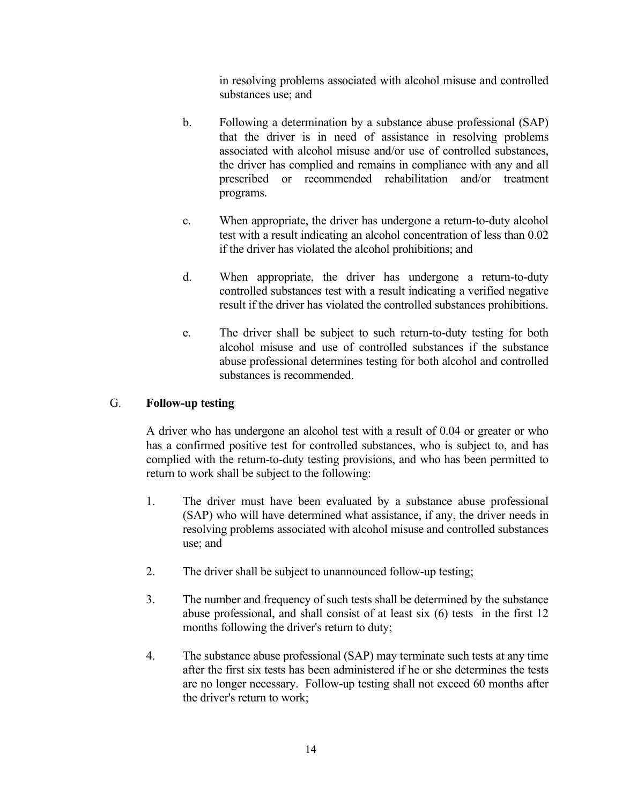in resolving problems associated with alcohol misuse and controlled substances use; and

- b. Following a determination by a substance abuse professional (SAP) that the driver is in need of assistance in resolving problems associated with alcohol misuse and/or use of controlled substances, the driver has complied and remains in compliance with any and all prescribed or recommended rehabilitation and/or treatment programs.
- c. When appropriate, the driver has undergone a return-to-duty alcohol test with a result indicating an alcohol concentration of less than 0.02 if the driver has violated the alcohol prohibitions; and
- d. When appropriate, the driver has undergone a return-to-duty controlled substances test with a result indicating a verified negative result if the driver has violated the controlled substances prohibitions.
- e. The driver shall be subject to such return-to-duty testing for both alcohol misuse and use of controlled substances if the substance abuse professional determines testing for both alcohol and controlled substances is recommended.

# G. **Follow-up testing**

A driver who has undergone an alcohol test with a result of 0.04 or greater or who has a confirmed positive test for controlled substances, who is subject to, and has complied with the return-to-duty testing provisions, and who has been permitted to return to work shall be subject to the following:

- 1. The driver must have been evaluated by a substance abuse professional (SAP) who will have determined what assistance, if any, the driver needs in resolving problems associated with alcohol misuse and controlled substances use; and
- 2. The driver shall be subject to unannounced follow-up testing;
- 3. The number and frequency of such tests shall be determined by the substance abuse professional, and shall consist of at least six (6) tests in the first 12 months following the driver's return to duty;
- 4. The substance abuse professional (SAP) may terminate such tests at any time after the first six tests has been administered if he or she determines the tests are no longer necessary. Follow-up testing shall not exceed 60 months after the driver's return to work;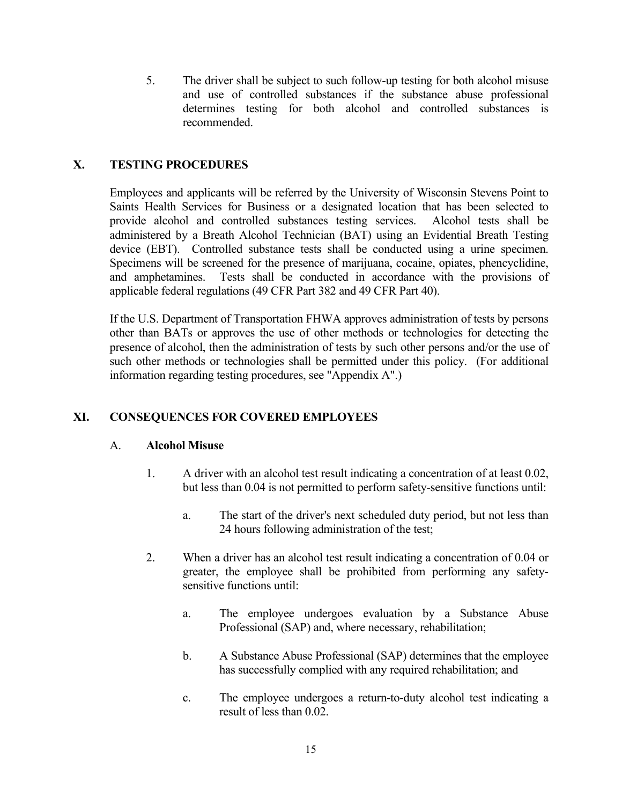5. The driver shall be subject to such follow-up testing for both alcohol misuse and use of controlled substances if the substance abuse professional determines testing for both alcohol and controlled substances is recommended.

# **X. TESTING PROCEDURES**

Employees and applicants will be referred by the University of Wisconsin Stevens Point to Saints Health Services for Business or a designated location that has been selected to provide alcohol and controlled substances testing services. Alcohol tests shall be administered by a Breath Alcohol Technician (BAT) using an Evidential Breath Testing device (EBT). Controlled substance tests shall be conducted using a urine specimen. Specimens will be screened for the presence of marijuana, cocaine, opiates, phencyclidine, and amphetamines. Tests shall be conducted in accordance with the provisions of applicable federal regulations (49 CFR Part 382 and 49 CFR Part 40).

If the U.S. Department of Transportation FHWA approves administration of tests by persons other than BATs or approves the use of other methods or technologies for detecting the presence of alcohol, then the administration of tests by such other persons and/or the use of such other methods or technologies shall be permitted under this policy. (For additional information regarding testing procedures, see "Appendix A".)

# **XI. CONSEQUENCES FOR COVERED EMPLOYEES**

# A. **Alcohol Misuse**

- 1. A driver with an alcohol test result indicating a concentration of at least 0.02, but less than 0.04 is not permitted to perform safety-sensitive functions until:
	- a. The start of the driver's next scheduled duty period, but not less than 24 hours following administration of the test;
- 2. When a driver has an alcohol test result indicating a concentration of 0.04 or greater, the employee shall be prohibited from performing any safetysensitive functions until:
	- a. The employee undergoes evaluation by a Substance Abuse Professional (SAP) and, where necessary, rehabilitation;
	- b. A Substance Abuse Professional (SAP) determines that the employee has successfully complied with any required rehabilitation; and
	- c. The employee undergoes a return-to-duty alcohol test indicating a result of less than 0.02.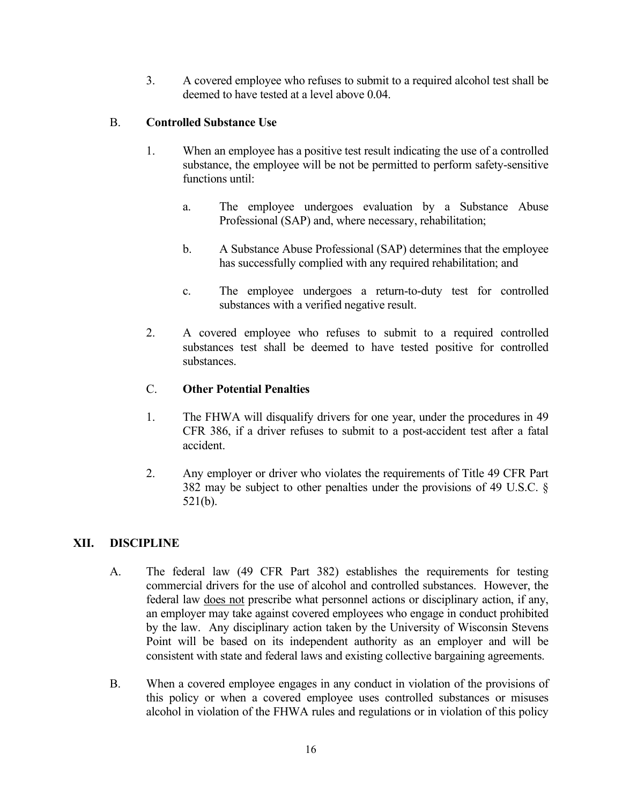3. A covered employee who refuses to submit to a required alcohol test shall be deemed to have tested at a level above 0.04.

# B. **Controlled Substance Use**

- 1. When an employee has a positive test result indicating the use of a controlled substance, the employee will be not be permitted to perform safety-sensitive functions until:
	- a. The employee undergoes evaluation by a Substance Abuse Professional (SAP) and, where necessary, rehabilitation;
	- b. A Substance Abuse Professional (SAP) determines that the employee has successfully complied with any required rehabilitation; and
	- c. The employee undergoes a return-to-duty test for controlled substances with a verified negative result.
- 2. A covered employee who refuses to submit to a required controlled substances test shall be deemed to have tested positive for controlled substances.

# C. **Other Potential Penalties**

- 1. The FHWA will disqualify drivers for one year, under the procedures in 49 CFR 386, if a driver refuses to submit to a post-accident test after a fatal accident.
- 2. Any employer or driver who violates the requirements of Title 49 CFR Part 382 may be subject to other penalties under the provisions of 49 U.S.C. § 521(b).

# **XII. DISCIPLINE**

- A. The federal law (49 CFR Part 382) establishes the requirements for testing commercial drivers for the use of alcohol and controlled substances. However, the federal law does not prescribe what personnel actions or disciplinary action, if any, an employer may take against covered employees who engage in conduct prohibited by the law. Any disciplinary action taken by the University of Wisconsin Stevens Point will be based on its independent authority as an employer and will be consistent with state and federal laws and existing collective bargaining agreements.
- B. When a covered employee engages in any conduct in violation of the provisions of this policy or when a covered employee uses controlled substances or misuses alcohol in violation of the FHWA rules and regulations or in violation of this policy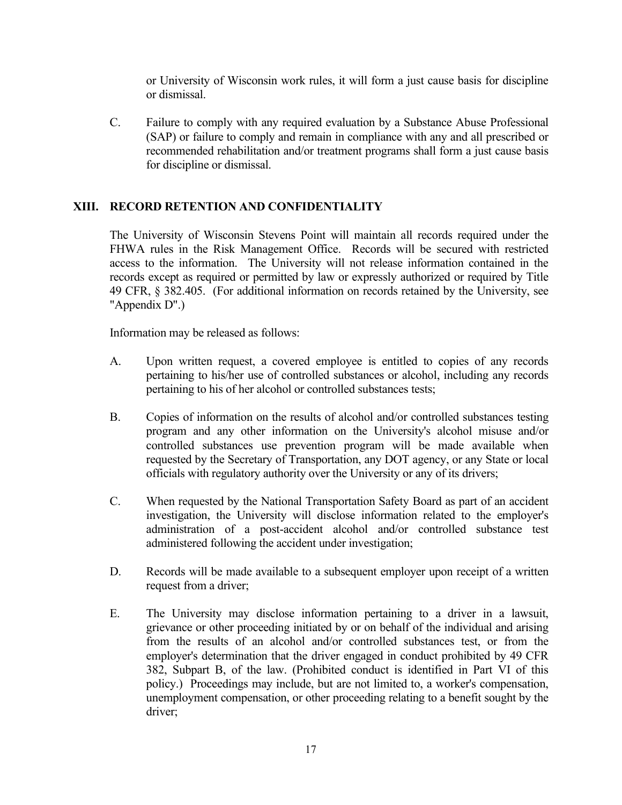or University of Wisconsin work rules, it will form a just cause basis for discipline or dismissal.

C. Failure to comply with any required evaluation by a Substance Abuse Professional (SAP) or failure to comply and remain in compliance with any and all prescribed or recommended rehabilitation and/or treatment programs shall form a just cause basis for discipline or dismissal.

# **XIII. RECORD RETENTION AND CONFIDENTIALITY**

The University of Wisconsin Stevens Point will maintain all records required under the FHWA rules in the Risk Management Office. Records will be secured with restricted access to the information. The University will not release information contained in the records except as required or permitted by law or expressly authorized or required by Title 49 CFR, § 382.405. (For additional information on records retained by the University, see "Appendix D".)

Information may be released as follows:

- A. Upon written request, a covered employee is entitled to copies of any records pertaining to his/her use of controlled substances or alcohol, including any records pertaining to his of her alcohol or controlled substances tests;
- B. Copies of information on the results of alcohol and/or controlled substances testing program and any other information on the University's alcohol misuse and/or controlled substances use prevention program will be made available when requested by the Secretary of Transportation, any DOT agency, or any State or local officials with regulatory authority over the University or any of its drivers;
- C. When requested by the National Transportation Safety Board as part of an accident investigation, the University will disclose information related to the employer's administration of a post-accident alcohol and/or controlled substance test administered following the accident under investigation;
- D. Records will be made available to a subsequent employer upon receipt of a written request from a driver;
- E. The University may disclose information pertaining to a driver in a lawsuit, grievance or other proceeding initiated by or on behalf of the individual and arising from the results of an alcohol and/or controlled substances test, or from the employer's determination that the driver engaged in conduct prohibited by 49 CFR 382, Subpart B, of the law. (Prohibited conduct is identified in Part VI of this policy.) Proceedings may include, but are not limited to, a worker's compensation, unemployment compensation, or other proceeding relating to a benefit sought by the driver;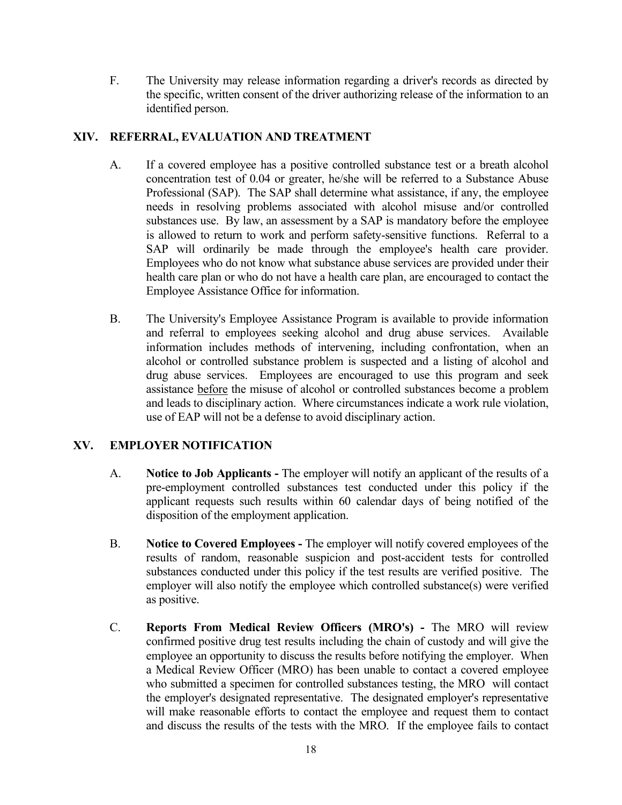F. The University may release information regarding a driver's records as directed by the specific, written consent of the driver authorizing release of the information to an identified person.

# **XIV. REFERRAL, EVALUATION AND TREATMENT**

- A. If a covered employee has a positive controlled substance test or a breath alcohol concentration test of 0.04 or greater, he/she will be referred to a Substance Abuse Professional (SAP). The SAP shall determine what assistance, if any, the employee needs in resolving problems associated with alcohol misuse and/or controlled substances use. By law, an assessment by a SAP is mandatory before the employee is allowed to return to work and perform safety-sensitive functions. Referral to a SAP will ordinarily be made through the employee's health care provider. Employees who do not know what substance abuse services are provided under their health care plan or who do not have a health care plan, are encouraged to contact the Employee Assistance Office for information.
- B. The University's Employee Assistance Program is available to provide information and referral to employees seeking alcohol and drug abuse services. Available information includes methods of intervening, including confrontation, when an alcohol or controlled substance problem is suspected and a listing of alcohol and drug abuse services. Employees are encouraged to use this program and seek assistance before the misuse of alcohol or controlled substances become a problem and leads to disciplinary action. Where circumstances indicate a work rule violation, use of EAP will not be a defense to avoid disciplinary action.

# **XV. EMPLOYER NOTIFICATION**

- A. **Notice to Job Applicants -** The employer will notify an applicant of the results of a pre-employment controlled substances test conducted under this policy if the applicant requests such results within 60 calendar days of being notified of the disposition of the employment application.
- B. **Notice to Covered Employees -** The employer will notify covered employees of the results of random, reasonable suspicion and post-accident tests for controlled substances conducted under this policy if the test results are verified positive. The employer will also notify the employee which controlled substance(s) were verified as positive.
- C. **Reports From Medical Review Officers (MRO's) -** The MRO will review confirmed positive drug test results including the chain of custody and will give the employee an opportunity to discuss the results before notifying the employer. When a Medical Review Officer (MRO) has been unable to contact a covered employee who submitted a specimen for controlled substances testing, the MRO will contact the employer's designated representative. The designated employer's representative will make reasonable efforts to contact the employee and request them to contact and discuss the results of the tests with the MRO. If the employee fails to contact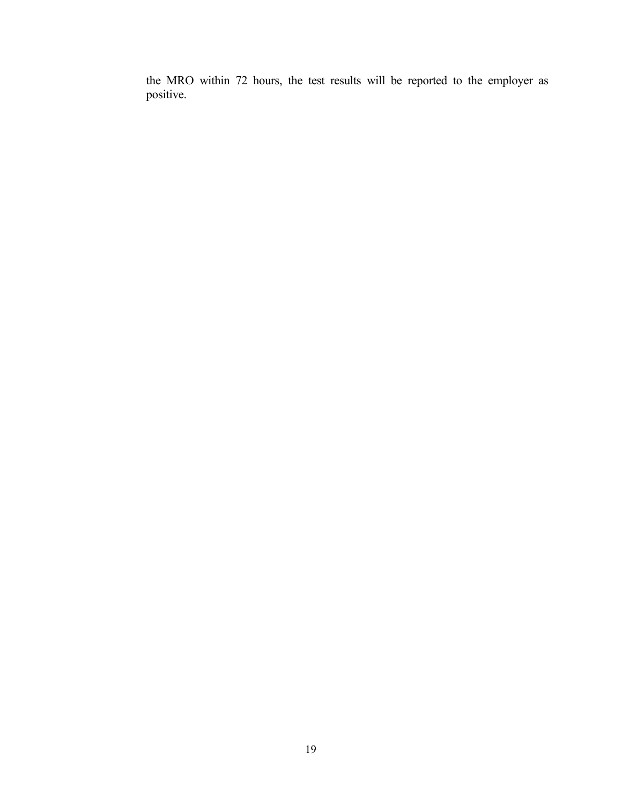the MRO within 72 hours, the test results will be reported to the employer as positive.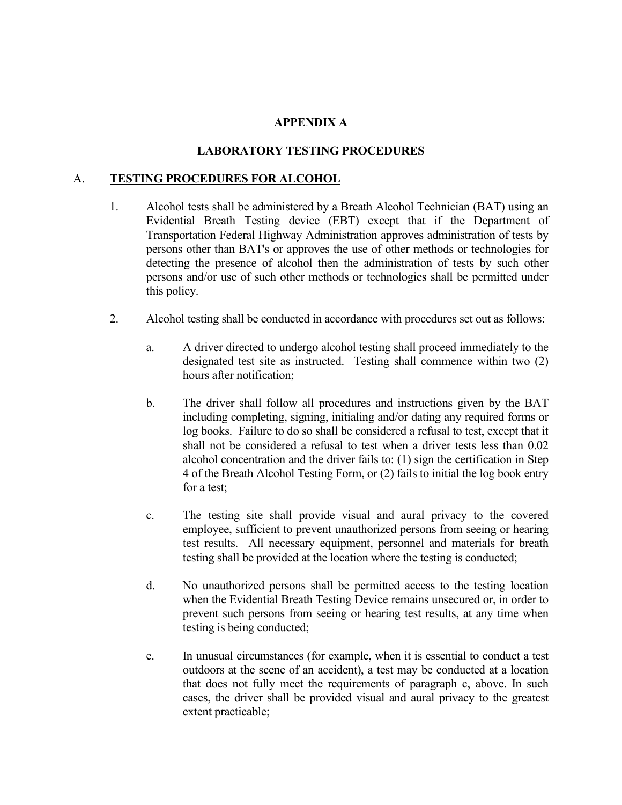# **APPENDIX A**

# **LABORATORY TESTING PROCEDURES**

# A. **TESTING PROCEDURES FOR ALCOHOL**

- 1. Alcohol tests shall be administered by a Breath Alcohol Technician (BAT) using an Evidential Breath Testing device (EBT) except that if the Department of Transportation Federal Highway Administration approves administration of tests by persons other than BAT's or approves the use of other methods or technologies for detecting the presence of alcohol then the administration of tests by such other persons and/or use of such other methods or technologies shall be permitted under this policy.
- 2. Alcohol testing shall be conducted in accordance with procedures set out as follows:
	- a. A driver directed to undergo alcohol testing shall proceed immediately to the designated test site as instructed. Testing shall commence within two (2) hours after notification;
	- b. The driver shall follow all procedures and instructions given by the BAT including completing, signing, initialing and/or dating any required forms or log books. Failure to do so shall be considered a refusal to test, except that it shall not be considered a refusal to test when a driver tests less than 0.02 alcohol concentration and the driver fails to: (1) sign the certification in Step 4 of the Breath Alcohol Testing Form, or (2) fails to initial the log book entry for a test;
	- c. The testing site shall provide visual and aural privacy to the covered employee, sufficient to prevent unauthorized persons from seeing or hearing test results. All necessary equipment, personnel and materials for breath testing shall be provided at the location where the testing is conducted;
	- d. No unauthorized persons shall be permitted access to the testing location when the Evidential Breath Testing Device remains unsecured or, in order to prevent such persons from seeing or hearing test results, at any time when testing is being conducted;
	- e. In unusual circumstances (for example, when it is essential to conduct a test outdoors at the scene of an accident), a test may be conducted at a location that does not fully meet the requirements of paragraph c, above. In such cases, the driver shall be provided visual and aural privacy to the greatest extent practicable;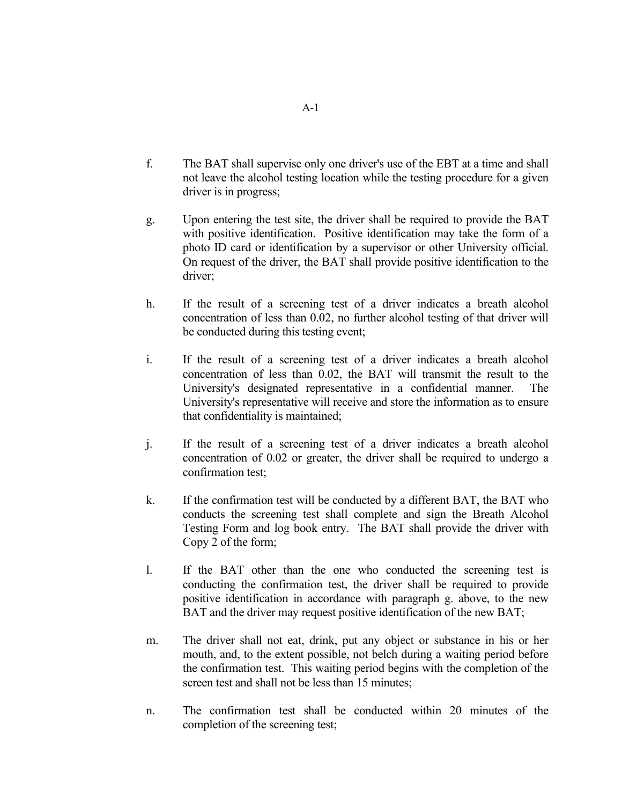- f. The BAT shall supervise only one driver's use of the EBT at a time and shall not leave the alcohol testing location while the testing procedure for a given driver is in progress;
- g. Upon entering the test site, the driver shall be required to provide the BAT with positive identification. Positive identification may take the form of a photo ID card or identification by a supervisor or other University official. On request of the driver, the BAT shall provide positive identification to the driver;
- h. If the result of a screening test of a driver indicates a breath alcohol concentration of less than 0.02, no further alcohol testing of that driver will be conducted during this testing event;
- i. If the result of a screening test of a driver indicates a breath alcohol concentration of less than 0.02, the BAT will transmit the result to the University's designated representative in a confidential manner. The University's representative will receive and store the information as to ensure that confidentiality is maintained;
- j. If the result of a screening test of a driver indicates a breath alcohol concentration of 0.02 or greater, the driver shall be required to undergo a confirmation test;
- k. If the confirmation test will be conducted by a different BAT, the BAT who conducts the screening test shall complete and sign the Breath Alcohol Testing Form and log book entry. The BAT shall provide the driver with Copy 2 of the form;
- l. If the BAT other than the one who conducted the screening test is conducting the confirmation test, the driver shall be required to provide positive identification in accordance with paragraph g. above, to the new BAT and the driver may request positive identification of the new BAT;
- m. The driver shall not eat, drink, put any object or substance in his or her mouth, and, to the extent possible, not belch during a waiting period before the confirmation test. This waiting period begins with the completion of the screen test and shall not be less than 15 minutes;
- n. The confirmation test shall be conducted within 20 minutes of the completion of the screening test;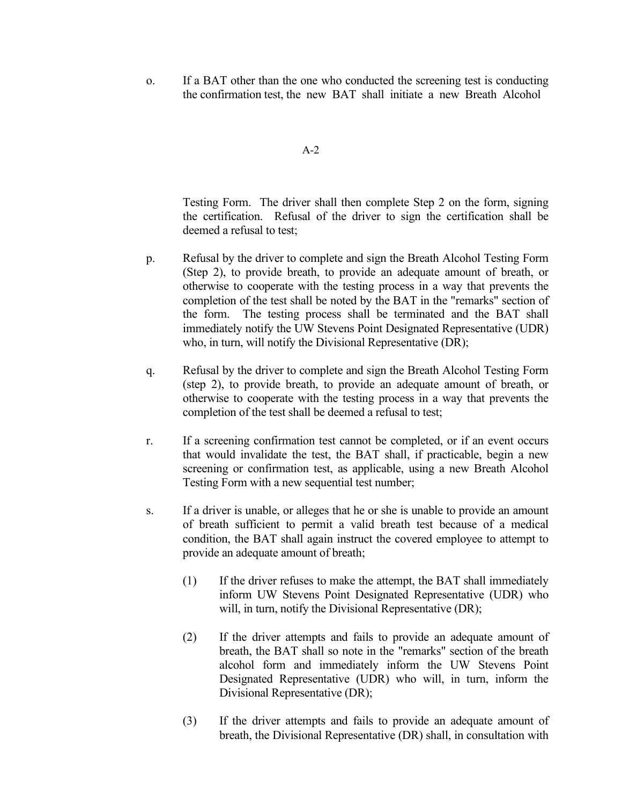o. If a BAT other than the one who conducted the screening test is conducting the confirmation test, the new BAT shall initiate a new Breath Alcohol

```
A-2
```
Testing Form. The driver shall then complete Step 2 on the form, signing the certification. Refusal of the driver to sign the certification shall be deemed a refusal to test;

- p. Refusal by the driver to complete and sign the Breath Alcohol Testing Form (Step 2), to provide breath, to provide an adequate amount of breath, or otherwise to cooperate with the testing process in a way that prevents the completion of the test shall be noted by the BAT in the "remarks" section of the form. The testing process shall be terminated and the BAT shall immediately notify the UW Stevens Point Designated Representative (UDR) who, in turn, will notify the Divisional Representative (DR);
- q. Refusal by the driver to complete and sign the Breath Alcohol Testing Form (step 2), to provide breath, to provide an adequate amount of breath, or otherwise to cooperate with the testing process in a way that prevents the completion of the test shall be deemed a refusal to test;
- r. If a screening confirmation test cannot be completed, or if an event occurs that would invalidate the test, the BAT shall, if practicable, begin a new screening or confirmation test, as applicable, using a new Breath Alcohol Testing Form with a new sequential test number;
- s. If a driver is unable, or alleges that he or she is unable to provide an amount of breath sufficient to permit a valid breath test because of a medical condition, the BAT shall again instruct the covered employee to attempt to provide an adequate amount of breath;
	- (1) If the driver refuses to make the attempt, the BAT shall immediately inform UW Stevens Point Designated Representative (UDR) who will, in turn, notify the Divisional Representative (DR);
	- (2) If the driver attempts and fails to provide an adequate amount of breath, the BAT shall so note in the "remarks" section of the breath alcohol form and immediately inform the UW Stevens Point Designated Representative (UDR) who will, in turn, inform the Divisional Representative (DR);
	- (3) If the driver attempts and fails to provide an adequate amount of breath, the Divisional Representative (DR) shall, in consultation with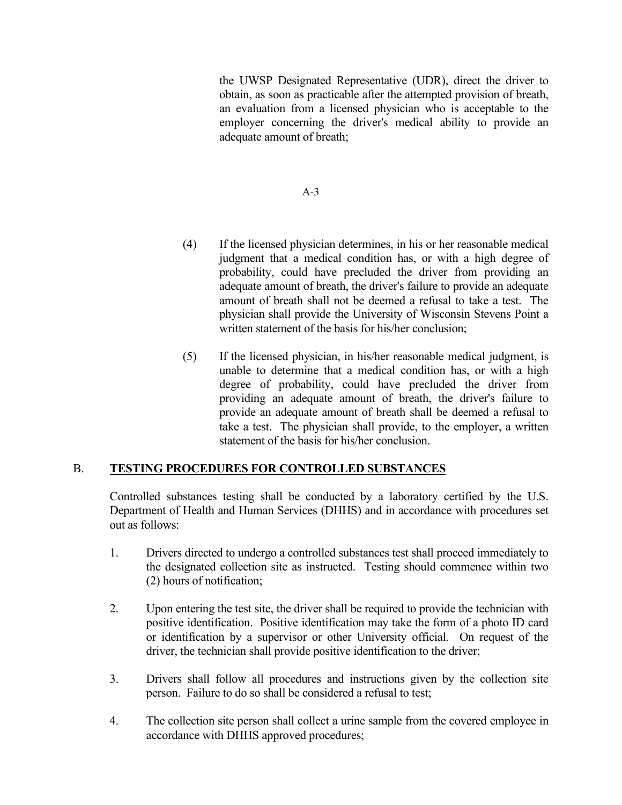the UWSP Designated Representative (UDR), direct the driver to obtain, as soon as practicable after the attempted provision of breath, an evaluation from a licensed physician who is acceptable to the employer concerning the driver's medical ability to provide an adequate amount of breath;

## A-3

- (4) If the licensed physician determines, in his or her reasonable medical judgment that a medical condition has, or with a high degree of probability, could have precluded the driver from providing an adequate amount of breath, the driver's failure to provide an adequate amount of breath shall not be deemed a refusal to take a test. The physician shall provide the University of Wisconsin Stevens Point a written statement of the basis for his/her conclusion;
- (5) If the licensed physician, in his/her reasonable medical judgment, is unable to determine that a medical condition has, or with a high degree of probability, could have precluded the driver from providing an adequate amount of breath, the driver's failure to provide an adequate amount of breath shall be deemed a refusal to take a test. The physician shall provide, to the employer, a written statement of the basis for his/her conclusion.

# B. **TESTING PROCEDURES FOR CONTROLLED SUBSTANCES**

Controlled substances testing shall be conducted by a laboratory certified by the U.S. Department of Health and Human Services (DHHS) and in accordance with procedures set out as follows:

- 1. Drivers directed to undergo a controlled substances test shall proceed immediately to the designated collection site as instructed. Testing should commence within two (2) hours of notification;
- 2. Upon entering the test site, the driver shall be required to provide the technician with positive identification. Positive identification may take the form of a photo ID card or identification by a supervisor or other University official. On request of the driver, the technician shall provide positive identification to the driver;
- 3. Drivers shall follow all procedures and instructions given by the collection site person. Failure to do so shall be considered a refusal to test;
- 4. The collection site person shall collect a urine sample from the covered employee in accordance with DHHS approved procedures;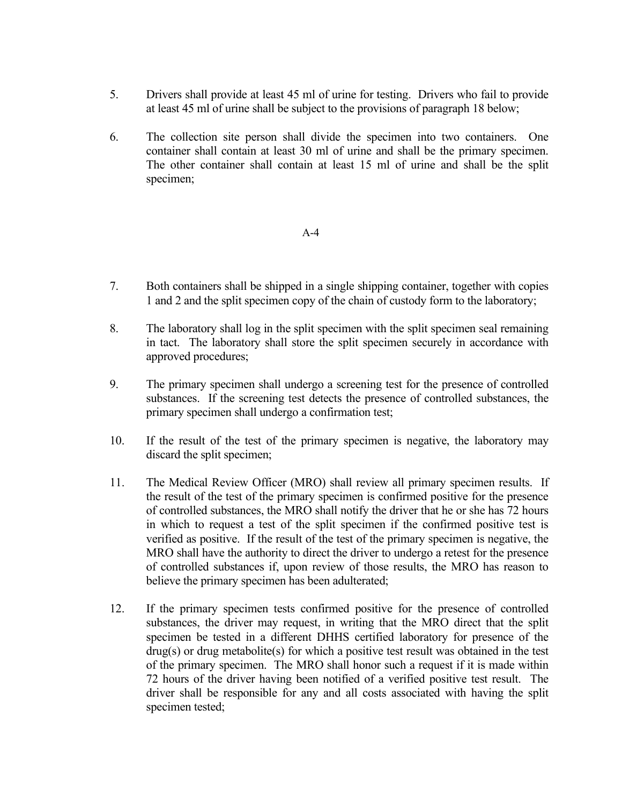- 5. Drivers shall provide at least 45 ml of urine for testing. Drivers who fail to provide at least 45 ml of urine shall be subject to the provisions of paragraph 18 below;
- 6. The collection site person shall divide the specimen into two containers. One container shall contain at least 30 ml of urine and shall be the primary specimen. The other container shall contain at least 15 ml of urine and shall be the split specimen;

## $A-4$

- 7. Both containers shall be shipped in a single shipping container, together with copies 1 and 2 and the split specimen copy of the chain of custody form to the laboratory;
- 8. The laboratory shall log in the split specimen with the split specimen seal remaining in tact. The laboratory shall store the split specimen securely in accordance with approved procedures;
- 9. The primary specimen shall undergo a screening test for the presence of controlled substances. If the screening test detects the presence of controlled substances, the primary specimen shall undergo a confirmation test;
- 10. If the result of the test of the primary specimen is negative, the laboratory may discard the split specimen;
- 11. The Medical Review Officer (MRO) shall review all primary specimen results. If the result of the test of the primary specimen is confirmed positive for the presence of controlled substances, the MRO shall notify the driver that he or she has 72 hours in which to request a test of the split specimen if the confirmed positive test is verified as positive. If the result of the test of the primary specimen is negative, the MRO shall have the authority to direct the driver to undergo a retest for the presence of controlled substances if, upon review of those results, the MRO has reason to believe the primary specimen has been adulterated;
- 12. If the primary specimen tests confirmed positive for the presence of controlled substances, the driver may request, in writing that the MRO direct that the split specimen be tested in a different DHHS certified laboratory for presence of the  $drug(s)$  or drug metabolite(s) for which a positive test result was obtained in the test of the primary specimen. The MRO shall honor such a request if it is made within 72 hours of the driver having been notified of a verified positive test result. The driver shall be responsible for any and all costs associated with having the split specimen tested;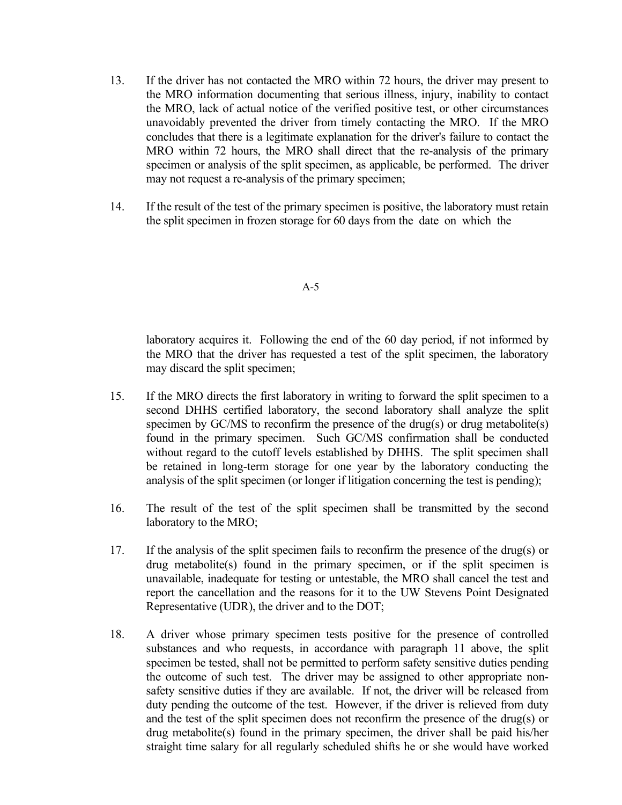- 13. If the driver has not contacted the MRO within 72 hours, the driver may present to the MRO information documenting that serious illness, injury, inability to contact the MRO, lack of actual notice of the verified positive test, or other circumstances unavoidably prevented the driver from timely contacting the MRO. If the MRO concludes that there is a legitimate explanation for the driver's failure to contact the MRO within 72 hours, the MRO shall direct that the re-analysis of the primary specimen or analysis of the split specimen, as applicable, be performed. The driver may not request a re-analysis of the primary specimen;
- 14. If the result of the test of the primary specimen is positive, the laboratory must retain the split specimen in frozen storage for 60 days from the date on which the

### A-5

laboratory acquires it. Following the end of the 60 day period, if not informed by the MRO that the driver has requested a test of the split specimen, the laboratory may discard the split specimen;

- 15. If the MRO directs the first laboratory in writing to forward the split specimen to a second DHHS certified laboratory, the second laboratory shall analyze the split specimen by GC/MS to reconfirm the presence of the drug(s) or drug metabolite(s) found in the primary specimen. Such GC/MS confirmation shall be conducted without regard to the cutoff levels established by DHHS. The split specimen shall be retained in long-term storage for one year by the laboratory conducting the analysis of the split specimen (or longer if litigation concerning the test is pending);
- 16. The result of the test of the split specimen shall be transmitted by the second laboratory to the MRO;
- 17. If the analysis of the split specimen fails to reconfirm the presence of the drug(s) or drug metabolite(s) found in the primary specimen, or if the split specimen is unavailable, inadequate for testing or untestable, the MRO shall cancel the test and report the cancellation and the reasons for it to the UW Stevens Point Designated Representative (UDR), the driver and to the DOT;
- 18. A driver whose primary specimen tests positive for the presence of controlled substances and who requests, in accordance with paragraph 11 above, the split specimen be tested, shall not be permitted to perform safety sensitive duties pending the outcome of such test. The driver may be assigned to other appropriate nonsafety sensitive duties if they are available. If not, the driver will be released from duty pending the outcome of the test. However, if the driver is relieved from duty and the test of the split specimen does not reconfirm the presence of the drug(s) or drug metabolite(s) found in the primary specimen, the driver shall be paid his/her straight time salary for all regularly scheduled shifts he or she would have worked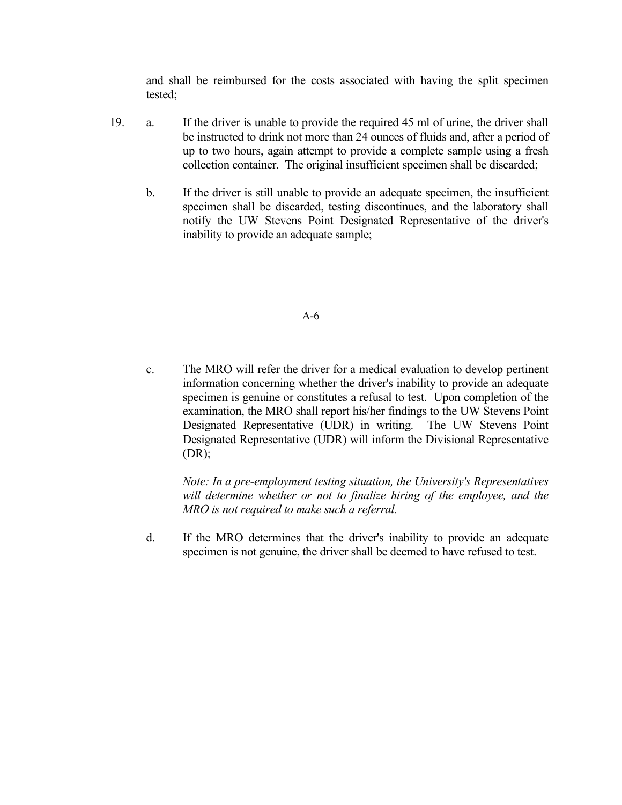and shall be reimbursed for the costs associated with having the split specimen tested;

- 19. a. If the driver is unable to provide the required 45 ml of urine, the driver shall be instructed to drink not more than 24 ounces of fluids and, after a period of up to two hours, again attempt to provide a complete sample using a fresh collection container. The original insufficient specimen shall be discarded;
	- b. If the driver is still unable to provide an adequate specimen, the insufficient specimen shall be discarded, testing discontinues, and the laboratory shall notify the UW Stevens Point Designated Representative of the driver's inability to provide an adequate sample;

## A-6

c. The MRO will refer the driver for a medical evaluation to develop pertinent information concerning whether the driver's inability to provide an adequate specimen is genuine or constitutes a refusal to test. Upon completion of the examination, the MRO shall report his/her findings to the UW Stevens Point Designated Representative (UDR) in writing. The UW Stevens Point Designated Representative (UDR) will inform the Divisional Representative (DR);

*Note: In a pre-employment testing situation, the University's Representatives will determine whether or not to finalize hiring of the employee, and the MRO is not required to make such a referral.*

d. If the MRO determines that the driver's inability to provide an adequate specimen is not genuine, the driver shall be deemed to have refused to test.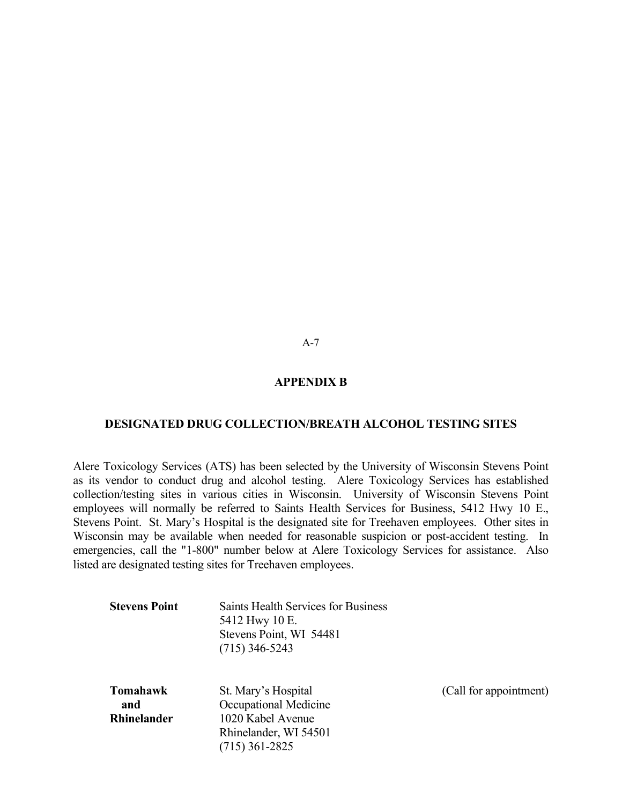A-7

## **APPENDIX B**

#### **DESIGNATED DRUG COLLECTION/BREATH ALCOHOL TESTING SITES**

Alere Toxicology Services (ATS) has been selected by the University of Wisconsin Stevens Point as its vendor to conduct drug and alcohol testing. Alere Toxicology Services has established collection/testing sites in various cities in Wisconsin. University of Wisconsin Stevens Point employees will normally be referred to Saints Health Services for Business, 5412 Hwy 10 E., Stevens Point. St. Mary's Hospital is the designated site for Treehaven employees. Other sites in Wisconsin may be available when needed for reasonable suspicion or post-accident testing. In emergencies, call the "1-800" number below at Alere Toxicology Services for assistance. Also listed are designated testing sites for Treehaven employees.

| <b>Stevens Point</b> | Saints Health Services for Business<br>5412 Hwy 10 E.<br>Stevens Point, WI 54481<br>$(715)$ 346-5243 |                        |
|----------------------|------------------------------------------------------------------------------------------------------|------------------------|
| <b>Tomahawk</b>      | St. Mary's Hospital                                                                                  | (Call for appointment) |
| and                  | Occupational Medicine                                                                                |                        |
| <b>Rhinelander</b>   | 1020 Kabel Avenue                                                                                    |                        |
|                      | Rhinelander, WI 54501                                                                                |                        |
|                      | (715) 361-2825                                                                                       |                        |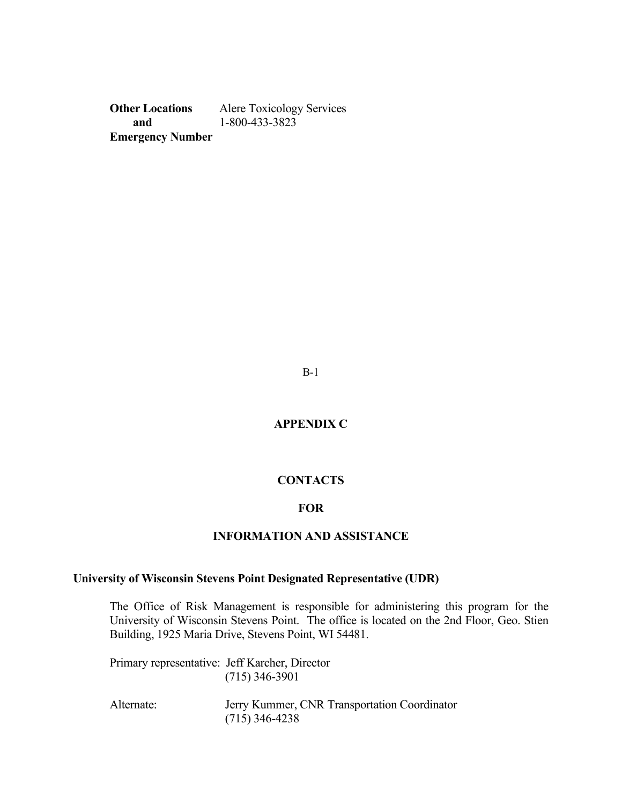**Other Locations** Alere Toxicology Services  **and** 1-800-433-3823 **Emergency Number**

B-1

**APPENDIX C**

## **CONTACTS**

## **FOR**

## **INFORMATION AND ASSISTANCE**

## **University of Wisconsin Stevens Point Designated Representative (UDR)**

The Office of Risk Management is responsible for administering this program for the University of Wisconsin Stevens Point. The office is located on the 2nd Floor, Geo. Stien Building, 1925 Maria Drive, Stevens Point, WI 54481.

Primary representative: Jeff Karcher, Director (715) 346-3901

Alternate: Jerry Kummer, CNR Transportation Coordinator (715) 346-4238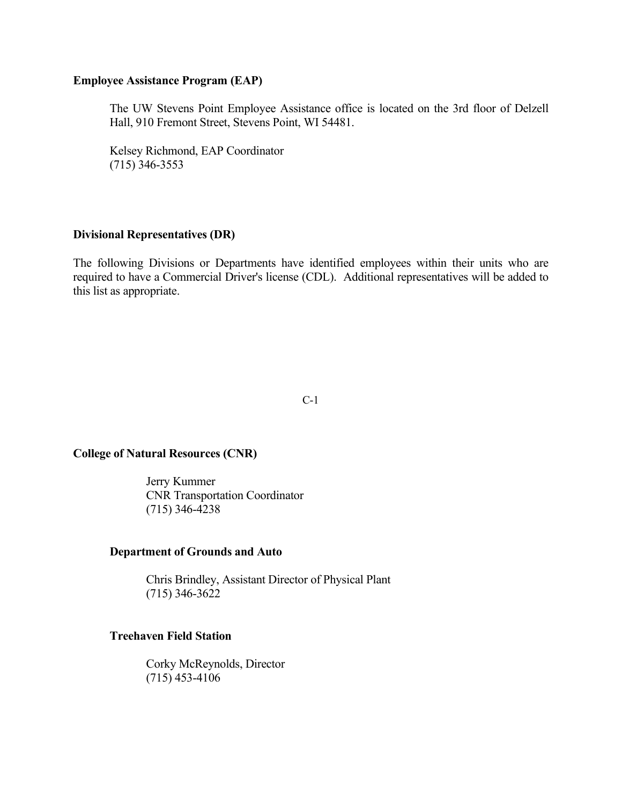## **Employee Assistance Program (EAP)**

The UW Stevens Point Employee Assistance office is located on the 3rd floor of Delzell Hall, 910 Fremont Street, Stevens Point, WI 54481.

Kelsey Richmond, EAP Coordinator (715) 346-3553

# **Divisional Representatives (DR)**

The following Divisions or Departments have identified employees within their units who are required to have a Commercial Driver's license (CDL). Additional representatives will be added to this list as appropriate.

C-1

## **College of Natural Resources (CNR)**

Jerry Kummer CNR Transportation Coordinator (715) 346-4238

## **Department of Grounds and Auto**

Chris Brindley, Assistant Director of Physical Plant (715) 346-3622

## **Treehaven Field Station**

Corky McReynolds, Director (715) 453-4106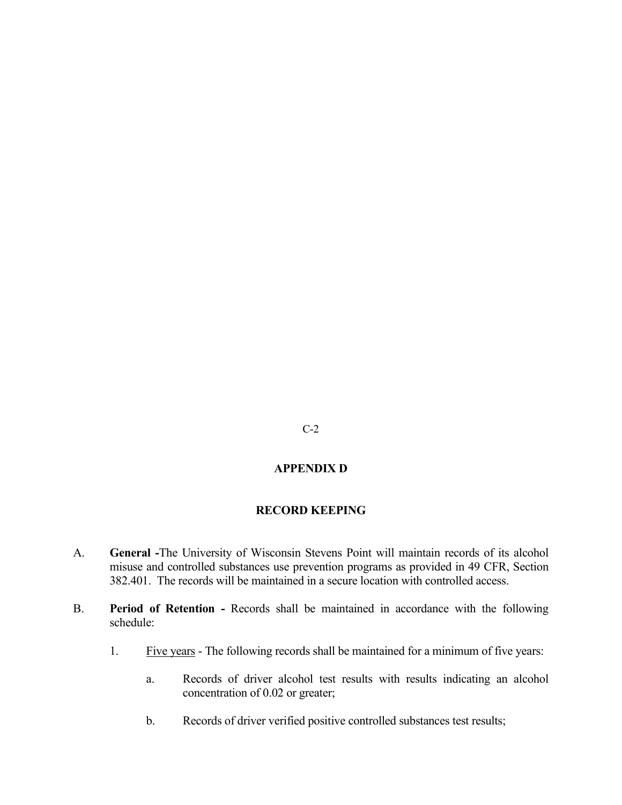## C-2

# **APPENDIX D**

# **RECORD KEEPING**

- A. **General -**The University of Wisconsin Stevens Point will maintain records of its alcohol misuse and controlled substances use prevention programs as provided in 49 CFR, Section 382.401. The records will be maintained in a secure location with controlled access.
- B. **Period of Retention -** Records shall be maintained in accordance with the following schedule:
	- 1. Five years The following records shall be maintained for a minimum of five years:
		- a. Records of driver alcohol test results with results indicating an alcohol concentration of 0.02 or greater;
		- b. Records of driver verified positive controlled substances test results;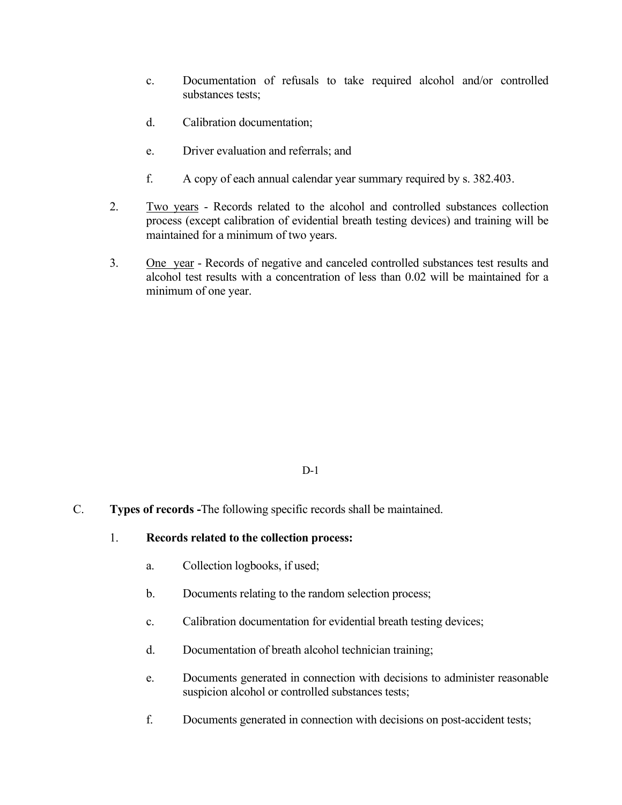- c. Documentation of refusals to take required alcohol and/or controlled substances tests;
- d. Calibration documentation;
- e. Driver evaluation and referrals; and
- f. A copy of each annual calendar year summary required by s. 382.403.
- 2. Two years Records related to the alcohol and controlled substances collection process (except calibration of evidential breath testing devices) and training will be maintained for a minimum of two years.
- 3. One year Records of negative and canceled controlled substances test results and alcohol test results with a concentration of less than 0.02 will be maintained for a minimum of one year.

## D-1

- C. **Types of records -**The following specific records shall be maintained.
	- 1. **Records related to the collection process:**
		- a. Collection logbooks, if used;
		- b. Documents relating to the random selection process;
		- c. Calibration documentation for evidential breath testing devices;
		- d. Documentation of breath alcohol technician training;
		- e. Documents generated in connection with decisions to administer reasonable suspicion alcohol or controlled substances tests;
		- f. Documents generated in connection with decisions on post-accident tests;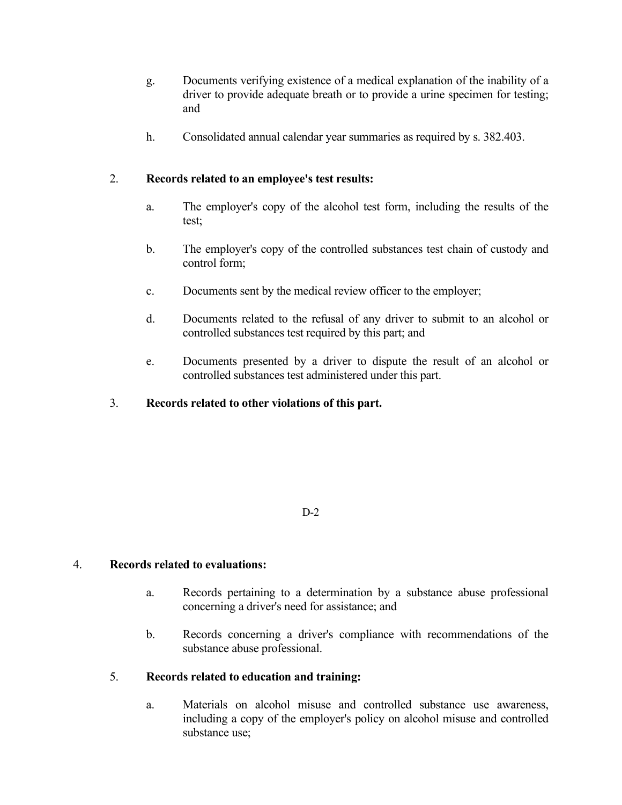- g. Documents verifying existence of a medical explanation of the inability of a driver to provide adequate breath or to provide a urine specimen for testing; and
- h. Consolidated annual calendar year summaries as required by s. 382.403.

# 2. **Records related to an employee's test results:**

- a. The employer's copy of the alcohol test form, including the results of the test;
- b. The employer's copy of the controlled substances test chain of custody and control form;
- c. Documents sent by the medical review officer to the employer;
- d. Documents related to the refusal of any driver to submit to an alcohol or controlled substances test required by this part; and
- e. Documents presented by a driver to dispute the result of an alcohol or controlled substances test administered under this part.
- 3. **Records related to other violations of this part.**

# D-2

# 4. **Records related to evaluations:**

- a. Records pertaining to a determination by a substance abuse professional concerning a driver's need for assistance; and
- b. Records concerning a driver's compliance with recommendations of the substance abuse professional.

# 5. **Records related to education and training:**

a. Materials on alcohol misuse and controlled substance use awareness, including a copy of the employer's policy on alcohol misuse and controlled substance use;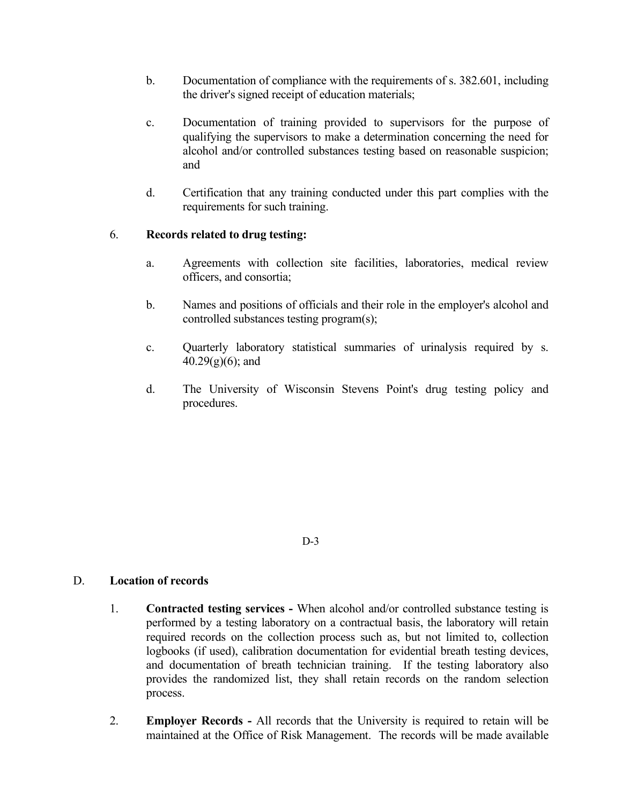- b. Documentation of compliance with the requirements of s. 382.601, including the driver's signed receipt of education materials;
- c. Documentation of training provided to supervisors for the purpose of qualifying the supervisors to make a determination concerning the need for alcohol and/or controlled substances testing based on reasonable suspicion; and
- d. Certification that any training conducted under this part complies with the requirements for such training.

# 6. **Records related to drug testing:**

- a. Agreements with collection site facilities, laboratories, medical review officers, and consortia;
- b. Names and positions of officials and their role in the employer's alcohol and controlled substances testing program(s);
- c. Quarterly laboratory statistical summaries of urinalysis required by s.  $40.29(g)(6)$ ; and
- d. The University of Wisconsin Stevens Point's drug testing policy and procedures.

D-3

## D. **Location of records**

- 1. **Contracted testing services -** When alcohol and/or controlled substance testing is performed by a testing laboratory on a contractual basis, the laboratory will retain required records on the collection process such as, but not limited to, collection logbooks (if used), calibration documentation for evidential breath testing devices, and documentation of breath technician training. If the testing laboratory also provides the randomized list, they shall retain records on the random selection process.
- 2. **Employer Records -** All records that the University is required to retain will be maintained at the Office of Risk Management. The records will be made available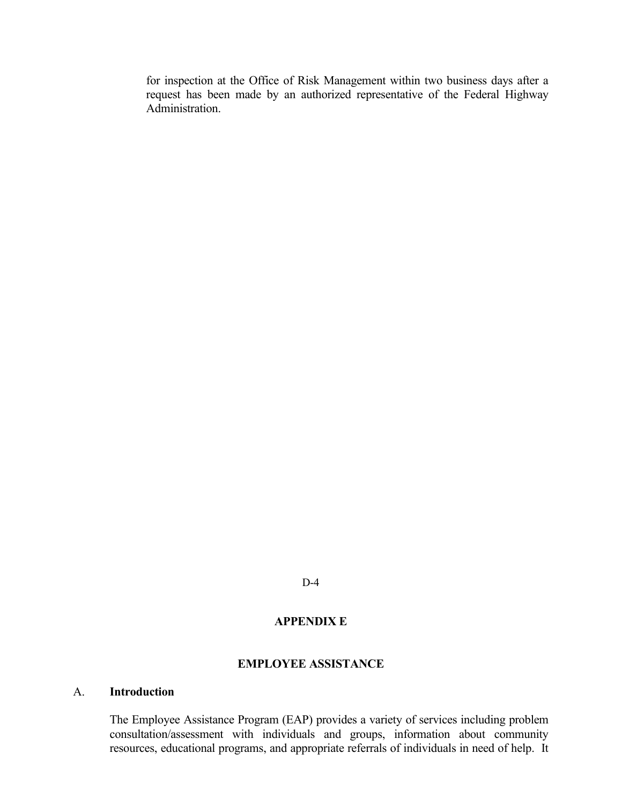for inspection at the Office of Risk Management within two business days after a request has been made by an authorized representative of the Federal Highway Administration.

D-4

## **APPENDIX E**

## **EMPLOYEE ASSISTANCE**

### A. **Introduction**

The Employee Assistance Program (EAP) provides a variety of services including problem consultation/assessment with individuals and groups, information about community resources, educational programs, and appropriate referrals of individuals in need of help. It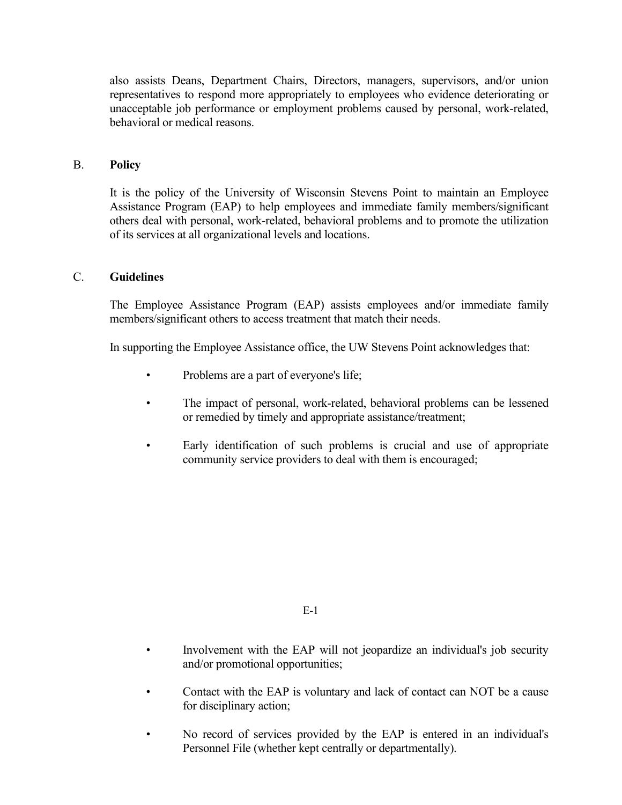also assists Deans, Department Chairs, Directors, managers, supervisors, and/or union representatives to respond more appropriately to employees who evidence deteriorating or unacceptable job performance or employment problems caused by personal, work-related, behavioral or medical reasons.

## B. **Policy**

It is the policy of the University of Wisconsin Stevens Point to maintain an Employee Assistance Program (EAP) to help employees and immediate family members/significant others deal with personal, work-related, behavioral problems and to promote the utilization of its services at all organizational levels and locations.

## C. **Guidelines**

The Employee Assistance Program (EAP) assists employees and/or immediate family members/significant others to access treatment that match their needs.

In supporting the Employee Assistance office, the UW Stevens Point acknowledges that:

- Problems are a part of everyone's life;
- The impact of personal, work-related, behavioral problems can be lessened or remedied by timely and appropriate assistance/treatment;
- Early identification of such problems is crucial and use of appropriate community service providers to deal with them is encouraged;

E-1

- Involvement with the EAP will not jeopardize an individual's job security and/or promotional opportunities;
- Contact with the EAP is voluntary and lack of contact can NOT be a cause for disciplinary action;
- No record of services provided by the EAP is entered in an individual's Personnel File (whether kept centrally or departmentally).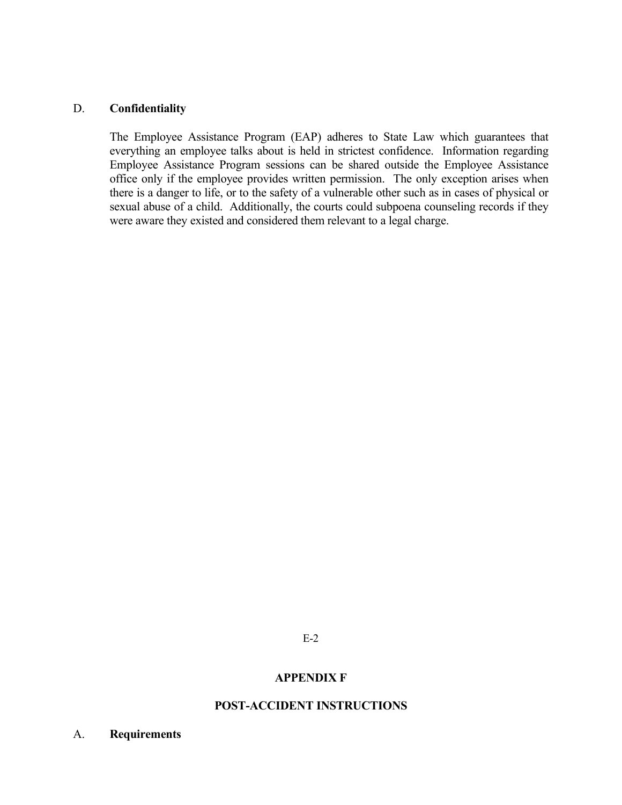## D. **Confidentiality**

The Employee Assistance Program (EAP) adheres to State Law which guarantees that everything an employee talks about is held in strictest confidence. Information regarding Employee Assistance Program sessions can be shared outside the Employee Assistance office only if the employee provides written permission. The only exception arises when there is a danger to life, or to the safety of a vulnerable other such as in cases of physical or sexual abuse of a child. Additionally, the courts could subpoena counseling records if they were aware they existed and considered them relevant to a legal charge.

E-2

## **APPENDIX F**

## **POST-ACCIDENT INSTRUCTIONS**

A. **Requirements**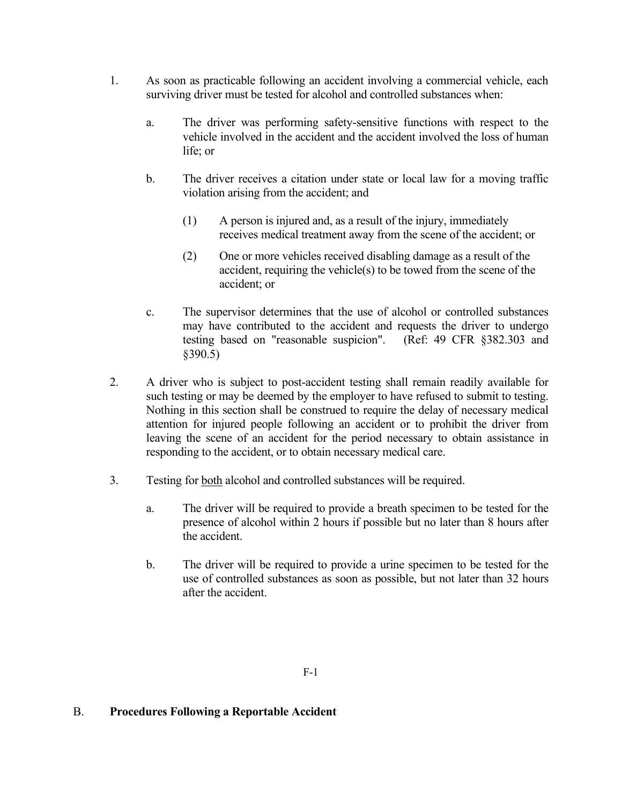- 1. As soon as practicable following an accident involving a commercial vehicle, each surviving driver must be tested for alcohol and controlled substances when:
	- a. The driver was performing safety-sensitive functions with respect to the vehicle involved in the accident and the accident involved the loss of human life; or
	- b. The driver receives a citation under state or local law for a moving traffic violation arising from the accident; and
		- (1) A person is injured and, as a result of the injury, immediately receives medical treatment away from the scene of the accident; or
		- (2) One or more vehicles received disabling damage as a result of the accident, requiring the vehicle(s) to be towed from the scene of the accident; or
	- c. The supervisor determines that the use of alcohol or controlled substances may have contributed to the accident and requests the driver to undergo testing based on "reasonable suspicion". (Ref: 49 CFR §382.303 and §390.5)
- 2. A driver who is subject to post-accident testing shall remain readily available for such testing or may be deemed by the employer to have refused to submit to testing. Nothing in this section shall be construed to require the delay of necessary medical attention for injured people following an accident or to prohibit the driver from leaving the scene of an accident for the period necessary to obtain assistance in responding to the accident, or to obtain necessary medical care.
- 3. Testing for both alcohol and controlled substances will be required.
	- a. The driver will be required to provide a breath specimen to be tested for the presence of alcohol within 2 hours if possible but no later than 8 hours after the accident.
	- b. The driver will be required to provide a urine specimen to be tested for the use of controlled substances as soon as possible, but not later than 32 hours after the accident.

# B. **Procedures Following a Reportable Accident**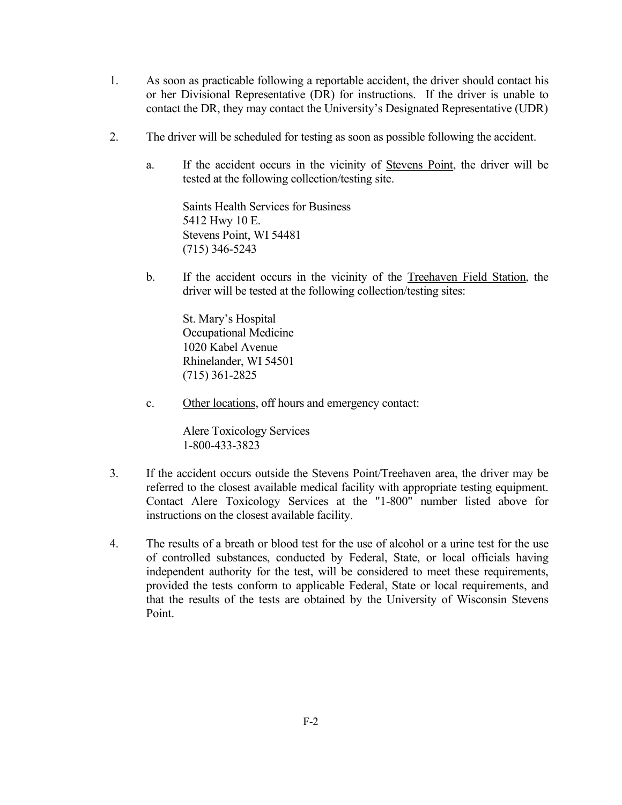- 1. As soon as practicable following a reportable accident, the driver should contact his or her Divisional Representative (DR) for instructions. If the driver is unable to contact the DR, they may contact the University's Designated Representative (UDR)
- 2. The driver will be scheduled for testing as soon as possible following the accident.
	- a. If the accident occurs in the vicinity of Stevens Point, the driver will be tested at the following collection/testing site.

Saints Health Services for Business 5412 Hwy 10 E. Stevens Point, WI 54481 (715) 346-5243

b. If the accident occurs in the vicinity of the Treehaven Field Station, the driver will be tested at the following collection/testing sites:

St. Mary's Hospital Occupational Medicine 1020 Kabel Avenue Rhinelander, WI 54501 (715) 361-2825

c. Other locations, off hours and emergency contact:

Alere Toxicology Services 1-800-433-3823

- 3. If the accident occurs outside the Stevens Point/Treehaven area, the driver may be referred to the closest available medical facility with appropriate testing equipment. Contact Alere Toxicology Services at the "1-800" number listed above for instructions on the closest available facility.
- 4. The results of a breath or blood test for the use of alcohol or a urine test for the use of controlled substances, conducted by Federal, State, or local officials having independent authority for the test, will be considered to meet these requirements, provided the tests conform to applicable Federal, State or local requirements, and that the results of the tests are obtained by the University of Wisconsin Stevens Point.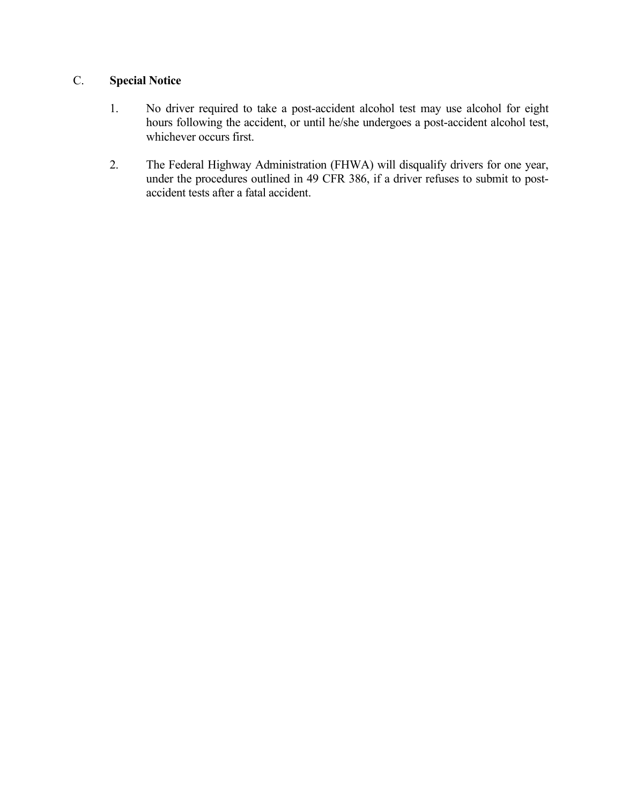# C. **Special Notice**

- 1. No driver required to take a post-accident alcohol test may use alcohol for eight hours following the accident, or until he/she undergoes a post-accident alcohol test, whichever occurs first.
- 2. The Federal Highway Administration (FHWA) will disqualify drivers for one year, under the procedures outlined in 49 CFR 386, if a driver refuses to submit to postaccident tests after a fatal accident.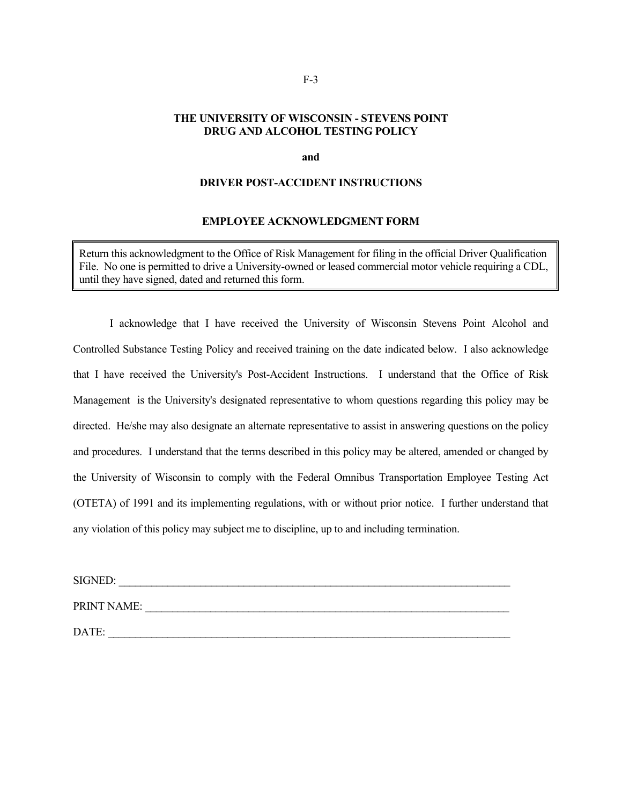## **THE UNIVERSITY OF WISCONSIN - STEVENS POINT DRUG AND ALCOHOL TESTING POLICY**

#### **and**

#### **DRIVER POST-ACCIDENT INSTRUCTIONS**

#### **EMPLOYEE ACKNOWLEDGMENT FORM**

Return this acknowledgment to the Office of Risk Management for filing in the official Driver Qualification File. No one is permitted to drive a University-owned or leased commercial motor vehicle requiring a CDL, until they have signed, dated and returned this form.

I acknowledge that I have received the University of Wisconsin Stevens Point Alcohol and Controlled Substance Testing Policy and received training on the date indicated below. I also acknowledge that I have received the University's Post-Accident Instructions. I understand that the Office of Risk Management is the University's designated representative to whom questions regarding this policy may be directed. He/she may also designate an alternate representative to assist in answering questions on the policy and procedures. I understand that the terms described in this policy may be altered, amended or changed by the University of Wisconsin to comply with the Federal Omnibus Transportation Employee Testing Act (OTETA) of 1991 and its implementing regulations, with or without prior notice. I further understand that any violation of this policy may subject me to discipline, up to and including termination.

| <b>SIGNED:</b> |  |
|----------------|--|
| PRINT NAME:    |  |
| DATE:          |  |